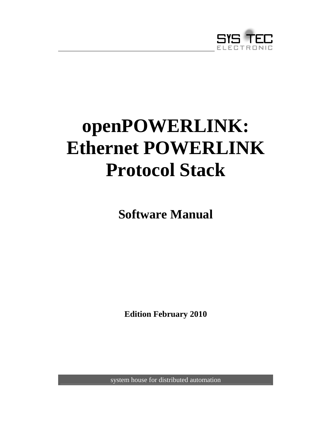

# **openPOWERLINK: Ethernet POWERLINK Protocol Stack**

**Software Manual** 

**Edition February 2010** 

system house for distributed automation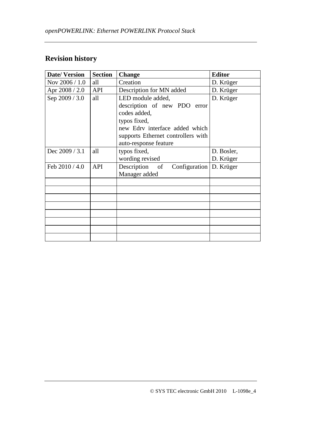# **Revision history**

| <b>Date/Version</b> | <b>Section</b> | <b>Change</b>                               | <b>Editor</b> |
|---------------------|----------------|---------------------------------------------|---------------|
| Nov 2006 / 1.0      | all            | Creation                                    | D. Krüger     |
| Apr 2008 / 2.0      | API            | Description for MN added                    | D. Krüger     |
| Sep 2009 / 3.0      | all            | LED module added,                           | D. Krüger     |
|                     |                | description of new PDO error                |               |
|                     |                | codes added,                                |               |
|                     |                | typos fixed,                                |               |
|                     |                | new Edry interface added which              |               |
|                     |                | supports Ethernet controllers with          |               |
|                     |                | auto-response feature                       |               |
| Dec 2009 / 3.1      | all            | typos fixed,                                | D. Bosler,    |
|                     |                | wording revised                             | D. Krüger     |
| Feb $2010 / 4.0$    | API            | Description of<br>Configuration   D. Krüger |               |
|                     |                | Manager added                               |               |
|                     |                |                                             |               |
|                     |                |                                             |               |
|                     |                |                                             |               |
|                     |                |                                             |               |
|                     |                |                                             |               |
|                     |                |                                             |               |
|                     |                |                                             |               |
|                     |                |                                             |               |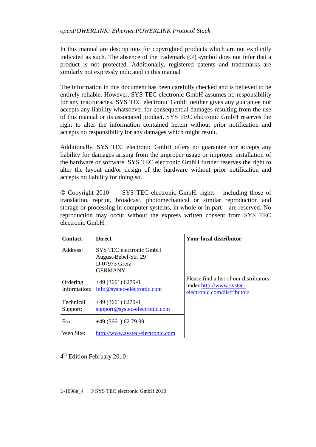In this manual are descriptions for copyrighted products which are not explicitly indicated as such. The absence of the trademark  $(\circledcirc)$  symbol does not infer that a product is not protected. Additionally, registered patents and trademarks are similarly not expressly indicated in this manual

The information in this document has been carefully checked and is believed to be entirely reliable. However, SYS TEC electronic GmbH assumes no responsibility for any inaccuracies. SYS TEC electronic GmbH neither gives any guarantee nor accepts any liability whatsoever for consequential damages resulting from the use of this manual or its associated product. SYS TEC electronic GmbH reserves the right to alter the information contained herein without prior notification and accepts no responsibility for any damages which might result.

Additionally, SYS TEC electronic GmbH offers no guarantee nor accepts any liability for damages arising from the improper usage or improper installation of the hardware or software. SYS TEC electronic GmbH further reserves the right to alter the layout and/or design of the hardware without prior notification and accepts no liability for doing so.

 Copyright 2010 SYS TEC electronic GmbH. rights – including those of translation, reprint, broadcast, photomechanical or similar reproduction and storage or processing in computer systems, in whole or in part – are reserved. No reproduction may occur without the express written consent from SYS TEC electronic GmbH.

| <b>Contact</b>           | <b>Direct</b>                                                                      | Your local distributor                                                                            |
|--------------------------|------------------------------------------------------------------------------------|---------------------------------------------------------------------------------------------------|
| Address:                 | SYS TEC electronic GmbH<br>August-Bebel-Str. 29<br>D-07973 Greiz<br><b>GERMANY</b> |                                                                                                   |
| Ordering<br>Information: | $+49(3661)6279-0$<br>info@systec-electronic.com                                    | Please find a list of our distributors<br>under http://www.systec-<br>electronic.com/distributors |
| Technical<br>Support:    | $+49(3661)6279-0$<br>support@systec-electronic.com                                 |                                                                                                   |
| $\text{Fax}:$            | +49 (3661) 62 79 99                                                                |                                                                                                   |
| Web Site:                | http://www.systec-electronic.com                                                   |                                                                                                   |

4<sup>th</sup> Edition February 2010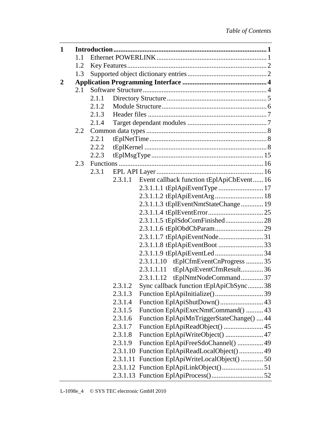| 1            |     |       |          |                                           |  |  |
|--------------|-----|-------|----------|-------------------------------------------|--|--|
|              | 1.1 |       |          |                                           |  |  |
|              | 1.2 |       |          |                                           |  |  |
|              | 1.3 |       |          |                                           |  |  |
| $\mathbf{2}$ |     |       |          |                                           |  |  |
|              | 2.1 |       |          |                                           |  |  |
|              |     | 2.1.1 |          |                                           |  |  |
|              |     | 2.1.2 |          |                                           |  |  |
|              |     | 2.1.3 |          |                                           |  |  |
|              |     | 2.1.4 |          |                                           |  |  |
|              | 2.2 |       |          |                                           |  |  |
|              |     | 2.2.1 |          |                                           |  |  |
|              |     | 2.2.2 |          |                                           |  |  |
|              |     | 2.2.3 |          |                                           |  |  |
|              | 2.3 |       |          |                                           |  |  |
|              |     | 2.3.1 |          |                                           |  |  |
|              |     |       | 2.3.1.1  | Event callback function tEplApiCbEvent 16 |  |  |
|              |     |       |          |                                           |  |  |
|              |     |       |          |                                           |  |  |
|              |     |       |          | 2.3.1.1.3 tEplEventNmtStateChange 19      |  |  |
|              |     |       |          |                                           |  |  |
|              |     |       |          |                                           |  |  |
|              |     |       |          |                                           |  |  |
|              |     |       |          |                                           |  |  |
|              |     |       |          | 2.3.1.1.8 tEplApiEventBoot 33             |  |  |
|              |     |       |          | tEplCfmEventCnProgress  35<br>2.3.1.1.10  |  |  |
|              |     |       |          | tEplApiEventCfmResult36<br>2.3.1.1.11     |  |  |
|              |     |       |          | tEplNmtNodeCommand37<br>2.3.1.1.12        |  |  |
|              |     |       | 2.3.1.2  | Sync callback function tEplApiCbSync38    |  |  |
|              |     |       | 2.3.1.3  |                                           |  |  |
|              |     |       | 2.3.1.4  | Function EplApiShutDown()43               |  |  |
|              |     |       | 2.3.1.5  | Function EplApiExecNmtCommand()  43       |  |  |
|              |     |       | 2.3.1.6  | Function EplApiMnTriggerStateChange()  44 |  |  |
|              |     |       | 2.3.1.7  | Function EplApiReadObject()  45           |  |  |
|              |     |       | 2.3.1.8  | Function EplApiWriteObject()  47          |  |  |
|              |     |       | 2.3.1.9  | Function EplApiFreeSdoChannel()  49       |  |  |
|              |     |       | 2.3.1.10 | Function EplApiReadLocalObject() 49       |  |  |
|              |     |       | 2.3.1.11 | Function EplApiWriteLocalObject()50       |  |  |
|              |     |       |          |                                           |  |  |
|              |     |       |          |                                           |  |  |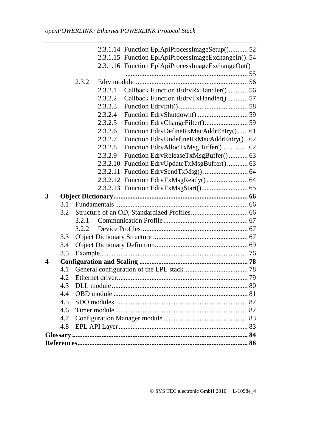|   |     |       |          | 2.3.1.14 Function EplApiProcessImageSetup()52        |  |
|---|-----|-------|----------|------------------------------------------------------|--|
|   |     |       |          | 2.3.1.15 Function EplApiProcessImageExchangeIn(). 54 |  |
|   |     |       |          | 2.3.1.16 Function EplApiProcessImageExchangeOut()    |  |
|   |     |       |          |                                                      |  |
|   |     | 2.3.2 |          |                                                      |  |
|   |     |       | 2.3.2.1  | Callback Function tEdrvRxHandler() 56                |  |
|   |     |       | 2.3.2.2  | Callback Function tEdrvTxHandler() 57                |  |
|   |     |       | 2.3.2.3  |                                                      |  |
|   |     |       | 2.3.2.4  |                                                      |  |
|   |     |       | 2.3.2.5  |                                                      |  |
|   |     |       | 2.3.2.6  | Function EdrvDefineRxMacAddrEntry() 61               |  |
|   |     |       | 2.3.2.7  | Function EdryUndefineRxMacAddrEntry() 62             |  |
|   |     |       | 2.3.2.8  | Function EdrvAllocTxMsgBuffer() 62                   |  |
|   |     |       | 2.3.2.9  | Function EdryReleaseTxMsgBuffer() 63                 |  |
|   |     |       | 2.3.2.10 | Function EdrvUpdateTxMsgBuffer() 63                  |  |
|   |     |       |          |                                                      |  |
|   |     |       |          |                                                      |  |
|   |     |       |          |                                                      |  |
| 3 |     |       |          |                                                      |  |
|   | 3.1 |       |          |                                                      |  |
|   | 3.2 |       |          |                                                      |  |
|   |     | 3.2.1 |          |                                                      |  |
|   |     | 3.2.2 |          |                                                      |  |
|   | 3.3 |       |          |                                                      |  |
|   | 3.4 |       |          |                                                      |  |
|   | 3.5 |       |          |                                                      |  |
| 4 |     |       |          |                                                      |  |
|   | 4.1 |       |          |                                                      |  |
|   | 4.2 |       |          |                                                      |  |
|   | 4.3 |       |          |                                                      |  |
|   | 4.4 |       |          |                                                      |  |
|   | 4.5 |       |          |                                                      |  |
|   | 4.6 |       |          |                                                      |  |
|   | 4.7 |       |          |                                                      |  |
|   | 4.8 |       |          |                                                      |  |
|   |     |       |          |                                                      |  |
|   |     |       |          |                                                      |  |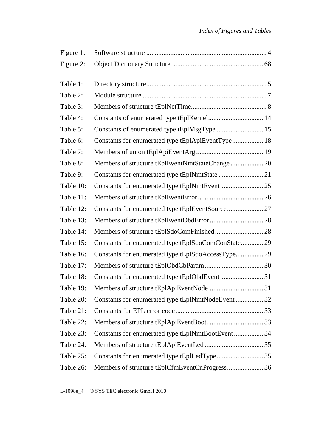| Constants of enumerated type tEplKernel 14          |  |
|-----------------------------------------------------|--|
| Constants of enumerated type tEplMsgType  15        |  |
| Constants for enumerated type tEplApiEventType 18   |  |
|                                                     |  |
| Members of structure tEplEventNmtStateChange 20     |  |
| Constants for enumerated type tEplNmtState  21      |  |
| Constants for enumerated type tEplNmtEvent25        |  |
|                                                     |  |
| Constants for enumerated type tEplEventSource 27    |  |
|                                                     |  |
|                                                     |  |
| Constants for enumerated type tEplSdoComConState 29 |  |
| Constants for enumerated type tEplSdoAccessType 29  |  |
|                                                     |  |
| Constants for enumerated type tEplObdEvent31        |  |
|                                                     |  |
| Constants for enumerated type tEplNmtNodeEvent  32  |  |
|                                                     |  |
|                                                     |  |
| Constants for enumerated type tEplNmtBootEvent 34   |  |
|                                                     |  |
| Constants for enumerated type tEplLedType 35        |  |
| Members of structure tEplCfmEventCnProgress 36      |  |
|                                                     |  |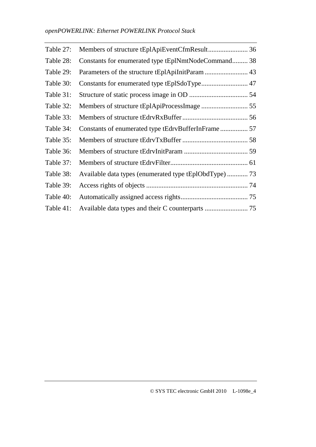| Table 27: | Members of structure tEplApiEventCfmResult 36          |  |
|-----------|--------------------------------------------------------|--|
| Table 28: | Constants for enumerated type tEplNmtNodeCommand 38    |  |
| Table 29: | Parameters of the structure tEplApiInitParam  43       |  |
| Table 30: |                                                        |  |
| Table 31: |                                                        |  |
| Table 32: |                                                        |  |
| Table 33: |                                                        |  |
| Table 34: |                                                        |  |
| Table 35: |                                                        |  |
| Table 36: |                                                        |  |
| Table 37: |                                                        |  |
| Table 38: | Available data types (enumerated type tEplObdType)  73 |  |
| Table 39: |                                                        |  |
| Table 40: |                                                        |  |
| Table 41: |                                                        |  |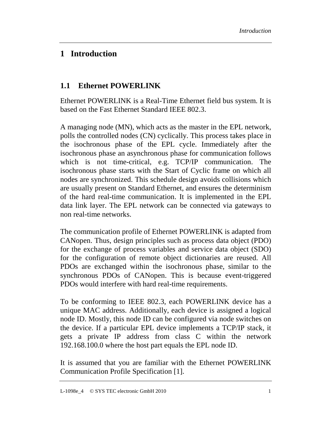## **1 Introduction**

## **1.1 Ethernet POWERLINK**

Ethernet POWERLINK is a Real-Time Ethernet field bus system. It is based on the Fast Ethernet Standard IEEE 802.3.

A managing node (MN), which acts as the master in the EPL network, polls the controlled nodes (CN) cyclically. This process takes place in the isochronous phase of the EPL cycle. Immediately after the isochronous phase an asynchronous phase for communication follows which is not time-critical, e.g. TCP/IP communication. The isochronous phase starts with the Start of Cyclic frame on which all nodes are synchronized. This schedule design avoids collisions which are usually present on Standard Ethernet, and ensures the determinism of the hard real-time communication. It is implemented in the EPL data link layer. The EPL network can be connected via gateways to non real-time networks.

The communication profile of Ethernet POWERLINK is adapted from CANopen. Thus, design principles such as process data object (PDO) for the exchange of process variables and service data object (SDO) for the configuration of remote object dictionaries are reused. All PDOs are exchanged within the isochronous phase, similar to the synchronous PDOs of CANopen. This is because event-triggered PDOs would interfere with hard real-time requirements.

To be conforming to IEEE 802.3, each POWERLINK device has a unique MAC address. Additionally, each device is assigned a logical node ID. Mostly, this node ID can be configured via node switches on the device. If a particular EPL device implements a TCP/IP stack, it gets a private IP address from class C within the network 192.168.100.0 where the host part equals the EPL node ID.

It is assumed that you are familiar with the Ethernet POWERLINK Communication Profile Specification [1].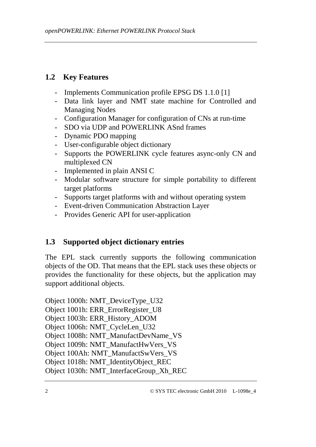## **1.2 Key Features**

- Implements Communication profile EPSG DS 1.1.0 [1]
- Data link layer and NMT state machine for Controlled and Managing Nodes
- Configuration Manager for configuration of CNs at run-time
- SDO via UDP and POWERLINK ASnd frames
- Dynamic PDO mapping
- User-configurable object dictionary
- Supports the POWERLINK cycle features async-only CN and multiplexed CN
- Implemented in plain ANSI C
- Modular software structure for simple portability to different target platforms
- Supports target platforms with and without operating system
- Event-driven Communication Abstraction Layer
- Provides Generic API for user-application

## **1.3 Supported object dictionary entries**

The EPL stack currently supports the following communication objects of the OD. That means that the EPL stack uses these objects or provides the functionality for these objects, but the application may support additional objects.

Object 1000h: NMT\_DeviceType\_U32 Object 1001h: ERR\_ErrorRegister\_U8 Object 1003h: ERR\_History\_ADOM Object 1006h: NMT\_CycleLen\_U32 Object 1008h: NMT\_ManufactDevName\_VS Object 1009h: NMT\_ManufactHwVers\_VS Object 100Ah: NMT\_ManufactSwVers\_VS Object 1018h: NMT\_IdentityObject\_REC Object 1030h: NMT\_InterfaceGroup\_Xh\_REC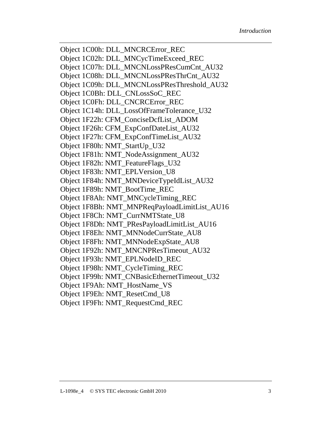Object 1C00h: DLL\_MNCRCError\_REC Object 1C02h: DLL\_MNCycTimeExceed\_REC Object 1C07h: DLL\_MNCNLossPResCumCnt\_AU32 Object 1C08h: DLL\_MNCNLossPResThrCnt\_AU32 Object 1C09h: DLL\_MNCNLossPResThreshold\_AU32 Object 1C0Bh: DLL\_CNLossSoC\_REC Object 1C0Fh: DLL\_CNCRCError\_REC Object 1C14h: DLL\_LossOfFrameTolerance\_U32 Object 1F22h: CFM\_ConciseDcfList\_ADOM Object 1F26h: CFM\_ExpConfDateList\_AU32 Object 1F27h: CFM\_ExpConfTimeList\_AU32 Object 1F80h: NMT\_StartUp\_U32 Object 1F81h: NMT\_NodeAssignment\_AU32 Object 1F82h: NMT\_FeatureFlags\_U32 Object 1F83h: NMT\_EPLVersion\_U8 Object 1F84h: NMT\_MNDeviceTypeIdList\_AU32 Object 1F89h: NMT\_BootTime\_REC Object 1F8Ah: NMT\_MNCycleTiming\_REC Object 1F8Bh: NMT\_MNPReqPayloadLimitList\_AU16 Object 1F8Ch: NMT\_CurrNMTState\_U8 Object 1F8Dh: NMT\_PResPayloadLimitList\_AU16 Object 1F8Eh: NMT\_MNNodeCurrState\_AU8 Object 1F8Fh: NMT\_MNNodeExpState\_AU8 Object 1F92h: NMT\_MNCNPResTimeout\_AU32 Object 1F93h: NMT\_EPLNodeID\_REC Object 1F98h: NMT\_CycleTiming\_REC Object 1F99h: NMT\_CNBasicEthernetTimeout\_U32 Object 1F9Ah: NMT\_HostName\_VS Object 1F9Eh: NMT\_ResetCmd\_U8 Object 1F9Fh: NMT\_RequestCmd\_REC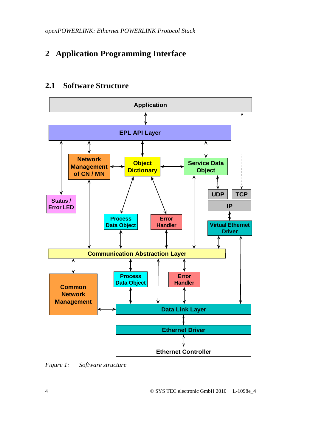# **2 Application Programming Interface**

## **2.1 Software Structure**



*Figure 1: Software structure*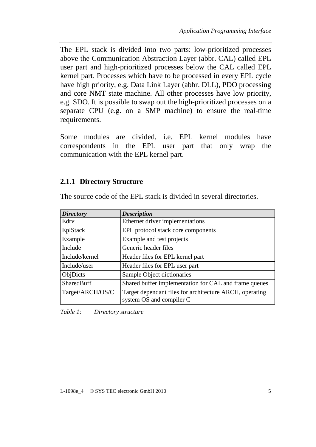The EPL stack is divided into two parts: low-prioritized processes above the Communication Abstraction Layer (abbr. CAL) called EPL user part and high-prioritized processes below the CAL called EPL kernel part. Processes which have to be processed in every EPL cycle have high priority, e.g. Data Link Layer (abbr. DLL), PDO processing and core NMT state machine. All other processes have low priority, e.g. SDO. It is possible to swap out the high-prioritized processes on a separate CPU (e.g. on a SMP machine) to ensure the real-time requirements.

Some modules are divided, i.e. EPL kernel modules have correspondents in the EPL user part that only wrap the communication with the EPL kernel part.

#### **2.1.1 Directory Structure**

| <b>Directory</b>  | <b>Description</b>                                                                  |
|-------------------|-------------------------------------------------------------------------------------|
| Edry              | Ethernet driver implementations                                                     |
| EplStack          | EPL protocol stack core components                                                  |
| Example           | Example and test projects                                                           |
| Include           | Generic header files                                                                |
| Include/kernel    | Header files for EPL kernel part                                                    |
| Include/user      | Header files for EPL user part                                                      |
| ObjDicts          | Sample Object dictionaries                                                          |
| <b>SharedBuff</b> | Shared buffer implementation for CAL and frame queues                               |
| Target/ARCH/OS/C  | Target dependant files for architecture ARCH, operating<br>system OS and compiler C |

The source code of the EPL stack is divided in several directories.

*Table 1: Directory structure*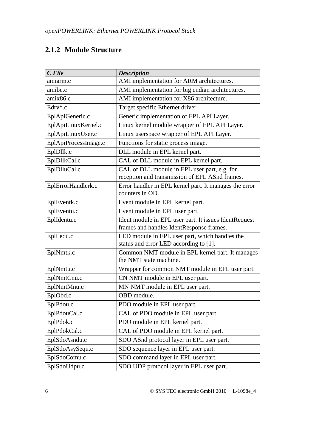## **2.1.2 Module Structure**

| $C$ File                                                                                        | <b>Description</b>                                                                             |  |
|-------------------------------------------------------------------------------------------------|------------------------------------------------------------------------------------------------|--|
| amiarm.c                                                                                        | AMI implementation for ARM architectures.                                                      |  |
| amibe.c                                                                                         | AMI implementation for big endian architectures.                                               |  |
| amix86.c                                                                                        | AMI implementation for X86 architecture.                                                       |  |
| Edry*.c                                                                                         | Target specific Ethernet driver.                                                               |  |
| EplApiGeneric.c                                                                                 | Generic implementation of EPL API Layer.                                                       |  |
| EplApiLinuxKernel.c                                                                             | Linux kernel module wrapper of EPL API Layer.                                                  |  |
| EplApiLinuxUser.c                                                                               | Linux userspace wrapper of EPL API Layer.                                                      |  |
| EplApiProcessImage.c                                                                            | Functions for static process image.                                                            |  |
| EplDllk.c                                                                                       | DLL module in EPL kernel part.                                                                 |  |
| EplDllkCal.c                                                                                    | CAL of DLL module in EPL kernel part.                                                          |  |
| EplDlluCal.c                                                                                    | CAL of DLL module in EPL user part, e.g. for<br>reception and transmission of EPL ASnd frames. |  |
| Error handler in EPL kernel part. It manages the error<br>EplErrorHandlerk.c<br>counters in OD. |                                                                                                |  |
| EplEventk.c                                                                                     | Event module in EPL kernel part.                                                               |  |
| EplEventu.c                                                                                     | Event module in EPL user part.                                                                 |  |
| EplIdentu.c                                                                                     | Ident module in EPL user part. It issues IdentRequest                                          |  |
|                                                                                                 | frames and handles IdentResponse frames.                                                       |  |
| EplLedu.c                                                                                       | LED module in EPL user part, which handles the                                                 |  |
|                                                                                                 | status and error LED according to [1].                                                         |  |
| EplNmtk.c                                                                                       | Common NMT module in EPL kernel part. It manages<br>the NMT state machine.                     |  |
| EplNmtu.c                                                                                       | Wrapper for common NMT module in EPL user part.                                                |  |
| EplNmtCnu.c                                                                                     | CN NMT module in EPL user part.                                                                |  |
| EplNmtMnu.c                                                                                     | MN NMT module in EPL user part.                                                                |  |
| EplObd.c                                                                                        | OBD module.                                                                                    |  |
| EplPdou.c                                                                                       | PDO module in EPL user part.                                                                   |  |
| EplPdouCal.c                                                                                    | CAL of PDO module in EPL user part.                                                            |  |
| EplPdok.c                                                                                       | PDO module in EPL kernel part.                                                                 |  |
| EplPdokCal.c<br>CAL of PDO module in EPL kernel part.                                           |                                                                                                |  |
| EplSdoAsndu.c<br>SDO ASnd protocol layer in EPL user part.                                      |                                                                                                |  |
| EplSdoAsySequ.c                                                                                 | SDO sequence layer in EPL user part.                                                           |  |
| EplSdoComu.c                                                                                    | SDO command layer in EPL user part.                                                            |  |
| EplSdoUdpu.c                                                                                    | SDO UDP protocol layer in EPL user part.                                                       |  |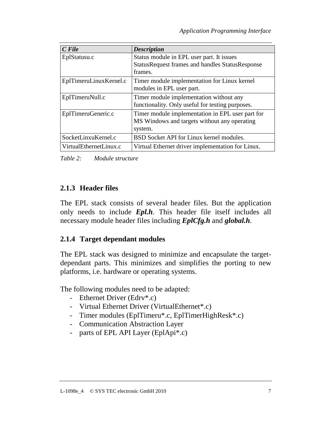| $C$ File               | <b>Description</b>                                     |  |  |
|------------------------|--------------------------------------------------------|--|--|
| EplStatusu.c           | Status module in EPL user part. It issues              |  |  |
|                        | <b>StatusRequest frames and handles StatusResponse</b> |  |  |
|                        | frames.                                                |  |  |
| EplTimeruLinuxKernel.c | Timer module implementation for Linux kernel           |  |  |
|                        | modules in EPL user part.                              |  |  |
| EplTimeruNull.c        | Timer module implementation without any                |  |  |
|                        | functionality. Only useful for testing purposes.       |  |  |
| EplTimeruGeneric.c     | Timer module implementation in EPL user part for       |  |  |
|                        | MS Windows and targets without any operating           |  |  |
|                        | system.                                                |  |  |
| SocketLinxuKernel.c    | BSD Socket API for Linux kernel modules.               |  |  |
| VirtualEthernetLinux.c | Virtual Ethernet driver implementation for Linux.      |  |  |

*Table 2: Module structure* 

## **2.1.3 Header files**

The EPL stack consists of several header files. But the application only needs to include *Epl.h*. This header file itself includes all necessary module header files including *EplCfg.h* and *global.h*.

## **2.1.4 Target dependant modules**

The EPL stack was designed to minimize and encapsulate the targetdependant parts. This minimizes and simplifies the porting to new platforms, i.e. hardware or operating systems.

The following modules need to be adapted:

- Ethernet Driver (Edrv\*.c)
- Virtual Ethernet Driver (VirtualEthernet\*.c)
- Timer modules (EplTimeru\*.c, EplTimerHighResk\*.c)
- Communication Abstraction Layer
- parts of EPL API Layer (EplApi\*.c)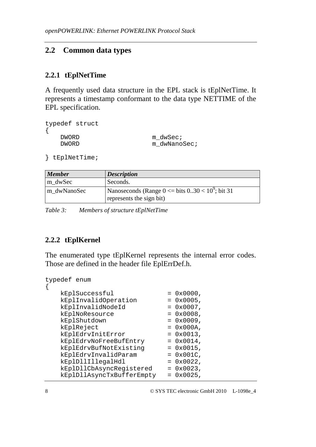## **2.2 Common data types**

#### **2.2.1 tEplNetTime**

A frequently used data structure in the EPL stack is tEplNetTime. It represents a timestamp conformant to the data type NETTIME of the EPL specification.

```
typedef struct 
\{DWORD m dwSec;
  DWORD m dwNanoSec;
```

```
} tEplNetTime;
```

| <b>Member</b> | <b>Description</b>                                                                   |
|---------------|--------------------------------------------------------------------------------------|
| m dwSec       | Seconds.                                                                             |
| m dwNanoSec   | Nanoseconds (Range $0 \le$ bits $0.30 \lt 10^9$ ; bit 31<br>represents the sign bit) |

*Table 3: Members of structure tEplNetTime* 

#### **2.2.2 tEplKernel**

The enumerated type tEplKernel represents the internal error codes. Those are defined in the header file EplErrDef.h.

```
typedef enum
```

| kEplSuccessful            | $= 0x0000,$  |  |
|---------------------------|--------------|--|
| kEplInvalidOperation      | $= 0x0005$ , |  |
| kEplInvalidNodeId         | $= 0x0007$ , |  |
| kEplNoResource            | $= 0x0008$ , |  |
| kEplShutdown              | $= 0x0009$ , |  |
| kEplReject                | $= 0x000A,$  |  |
| kEplEdrvInitError         | $= 0x0013$ , |  |
| kEplEdrvNoFreeBufEntry    | $= 0x0014$ , |  |
| kEplEdrvBufNotExisting    | $= 0x0015$ , |  |
| kEplEdrvInvalidParam      | $= 0x001C$ , |  |
| kEplDllIllegalHdl         | $= 0x0022$ , |  |
| kEplDllCbAsyncRegistered  | $= 0x0023$ , |  |
| kEplDllAsyncTxBufferEmpty | 0x0025,      |  |
|                           |              |  |

 $\{$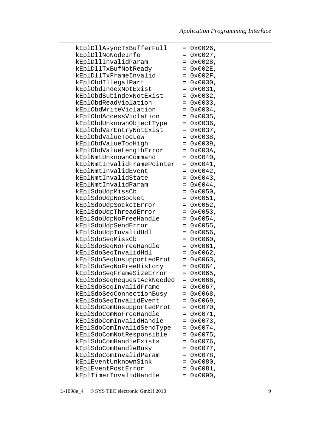| kEplDllAsyncTxBufferFull   |     | $= 0x0026$ , |
|----------------------------|-----|--------------|
| kEplDllNoNodeInfo          | $=$ | 0x0027,      |
| kEplDllInvalidParam        | $=$ | $0x0028$ ,   |
| kEplDllTxBufNotReady       |     | $0x002E$ ,   |
|                            | $=$ |              |
| kEplDllTxFrameInvalid      | $=$ | $0x002F$ ,   |
| kEplObdIllegalPart         | $=$ | 0x0030,      |
| kEplObdIndexNotExist       | $=$ | 0x0031,      |
| kEplObdSubindexNotExist    | $=$ | 0x0032,      |
| kEplObdReadViolation       | $=$ | 0x0033,      |
| kEplObdWriteViolation      | $=$ | 0x0034,      |
| kEplObdAccessViolation     | Ξ.  | 0x0035,      |
| kEplObdUnknownObjectType   | $=$ | 0x0036,      |
| kEplObdVarEntryNotExist    | $=$ | 0x0037,      |
| kEplObdValueTooLow         | $=$ | 0x0038,      |
| kEplObdValueTooHigh        | $=$ | 0x0039,      |
| kEplObdValueLengthError    | $=$ | 0x003A,      |
| kEplNmtUnknownCommand      | $=$ | 0x0040,      |
| kEplNmtInvalidFramePointer | $=$ | 0x0041,      |
| kEplNmtInvalidEvent        | $=$ | 0x0042,      |
| kEplNmtInvalidState        | $=$ | 0x0043,      |
| kEplNmtInvalidParam        | $=$ | 0x0044,      |
| kEplSdoUdpMissCb           | $=$ | 0x0050,      |
| kEplSdoUdpNoSocket         | $=$ | 0x0051,      |
| kEplSdoUdpSocketError      | $=$ | 0x0052,      |
| kEplSdoUdpThreadError      | $=$ | 0x0053,      |
| kEplSdoUdpNoFreeHandle     | $=$ | 0x0054,      |
| kEplSdoUdpSendError        | $=$ | 0x0055,      |
| kEplSdoUdpInvalidHdl       | $=$ | 0x0056,      |
| kEplSdoSeqMissCb           | $=$ | 0x0060,      |
| kEplSdoSeqNoFreeHandle     | $=$ | 0x0061,      |
| kEplSdoSeqInvalidHdl       | $=$ | 0x0062,      |
| kEplSdoSeqUnsupportedProt  | $=$ | 0x0063,      |
| kEplSdoSeqNoFreeHistory    | $=$ | $0x0064$ ,   |
| kEplSdoSeqFrameSizeError   | $=$ | 0x0065,      |
| kEplSdoSeqRequestAckNeeded |     | $= 0x0066$   |
| kEplSdoSeqInvalidFrame     | =   | 0x0067,      |
| kEplSdoSeqConnectionBusy   | $=$ | 0x0068,      |
| kEplSdoSeqInvalidEvent     | $=$ | 0x0069,      |
| kEplSdoComUnsupportedProt  | $=$ | 0x0070,      |
| kEplSdoComNoFreeHandle     | $=$ | 0x0071,      |
| kEplSdoComInvalidHandle    | $=$ | 0x0073,      |
| kEplSdoComInvalidSendType  | $=$ | 0x0074,      |
| kEplSdoComNotResponsible   | $=$ | 0x0075,      |
| kEplSdoComHandleExists     | $=$ | 0x0076,      |
| kEplSdoComHandleBusy       | =   | $0x0077$ ,   |
| kEplSdoComInvalidParam     | =   | 0x0078,      |
| kEplEventUnknownSink       | Ξ.  | 0x0080,      |
| kEplEventPostError         | $=$ | 0x0081,      |
| kEplTimerInvalidHandle     | $=$ | 0x0090,      |
|                            |     |              |

L-1098e\_4 © SYS TEC electronic GmbH 2010 9

l,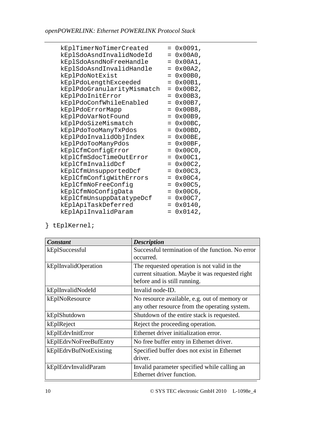| kEplTimerNoTimerCreated    | $=$ | 0x0091,            |
|----------------------------|-----|--------------------|
| kEplSdoAsndInvalidNodeId   | $=$ | $0x00A0$ ,         |
| kEplSdoAsndNoFreeHandle    | $=$ | $0x00A1$ ,         |
| kEplSdoAsndInvalidHandle   | $=$ | $0x00A2$ ,         |
| kEplPdoNotExist            | $=$ | 0x00B0,            |
| kEplPdoLengthExceeded      | $=$ | 0x00B1,            |
| kEplPdoGranularityMismatch | $=$ | $0x00B2$ ,         |
| kEplPdoInitError           | $=$ | $0x00B3$ ,         |
| kEplPdoConfWhileEnabled    | $=$ | $0x00B7$ ,         |
| kEplPdoErrorMapp           | $=$ | $0x00B8$ ,         |
| kEplPdoVarNotFound         | $=$ | 0x00B9,            |
| kEplPdoSizeMismatch        | $=$ | $0x00BC$ ,         |
| kEplPdoTooManyTxPdos       | $=$ | $0x00BD$ ,         |
| kEplPdoInvalidObjIndex     | $=$ | $0x00BE$ ,         |
| kEplPdoTooManyPdos         | $=$ | $0x00BF$ ,         |
| kEplCfmConfigError         | $=$ | $0 \times 00 C0$ , |
| kEplCfmSdocTimeOutError    | $=$ | 0x00C1,            |
| kEplCfmInvalidDcf          | $=$ | $0x00C2$ ,         |
| kEplCfmUnsupportedDcf      | $=$ | $0x00C3$ ,         |
| kEplCfmConfigWithErrors    | $=$ | $0x00C4$ ,         |
| kEplCfmNoFreeConfig        | $=$ | $0x00C5$ ,         |
| kEplCfmNoConfigData        | $=$ | $0x00C6$ ,         |
| kEplCfmUnsuppDatatypeDcf   | $=$ | $0x00C7$ ,         |
| kEplApiTaskDeferred        | $=$ | 0x0140,            |
| kEplApiInvalidParam        | $=$ | 0x0142,            |

} tEplKernel;

| Constant               | <b>Description</b>                               |
|------------------------|--------------------------------------------------|
| kEplSuccessful         | Successful termination of the function. No error |
|                        | occurred.                                        |
| kEplInvalidOperation   | The requested operation is not valid in the      |
|                        | current situation. Maybe it was requested right  |
|                        | before and is still running.                     |
| kEplInvalidNodeId      | Invalid node-ID.                                 |
| kEplNoResource         | No resource available, e.g. out of memory or     |
|                        | any other resource from the operating system.    |
| kEplShutdown           | Shutdown of the entire stack is requested.       |
| kEplReject             | Reject the proceeding operation.                 |
| kEplEdrvInitError      | Ethernet driver initialization error.            |
| kEplEdrvNoFreeBufEntry | No free buffer entry in Ethernet driver.         |
| kEplEdrvBufNotExisting | Specified buffer does not exist in Ethernet      |
|                        | driver.                                          |
| kEplEdrvInvalidParam   | Invalid parameter specified while calling an     |
|                        | Ethernet driver function.                        |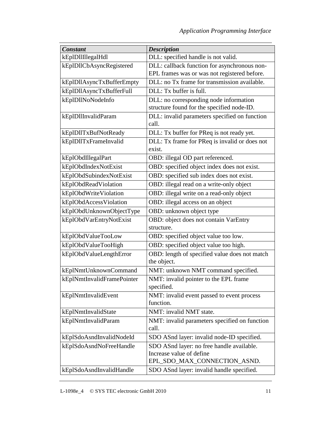| <b>Constant</b>            | <b>Description</b>                                           |
|----------------------------|--------------------------------------------------------------|
| kEplDllIllegalHdl          | DLL: specified handle is not valid.                          |
| kEplDllCbAsyncRegistered   | DLL: callback function for asynchronous non-                 |
|                            | EPL frames was or was not registered before.                 |
| kEplDllAsyncTxBufferEmpty  | DLL: no Tx frame for transmission available.                 |
| kEplDllAsyncTxBufferFull   | DLL: Tx buffer is full.                                      |
| kEplDllNoNodeInfo          | DLL: no corresponding node information                       |
|                            | structure found for the specified node-ID.                   |
| kEplDllInvalidParam        | DLL: invalid parameters specified on function<br>call.       |
| kEplDllTxBufNotReady       | DLL: Tx buffer for PReq is not ready yet.                    |
| kEplDllTxFrameInvalid      | DLL: Tx frame for PReq is invalid or does not                |
|                            | exist.                                                       |
| kEplObdIllegalPart         | OBD: illegal OD part referenced.                             |
| kEplObdIndexNotExist       | OBD: specified object index does not exist.                  |
| kEplObdSubindexNotExist    | OBD: specified sub index does not exist.                     |
| kEplObdReadViolation       | OBD: illegal read on a write-only object                     |
| kEplObdWriteViolation      | OBD: illegal write on a read-only object                     |
| kEplObdAccessViolation     | OBD: illegal access on an object                             |
| kEplObdUnknownObjectType   | OBD: unknown object type                                     |
| kEplObdVarEntryNotExist    | OBD: object does not contain VarEntry                        |
|                            | structure.                                                   |
| kEplObdValueTooLow         | OBD: specified object value too low.                         |
| kEplObdValueTooHigh        | OBD: specified object value too high.                        |
| kEplObdValueLengthError    | OBD: length of specified value does not match<br>the object. |
| kEplNmtUnknownCommand      | NMT: unknown NMT command specified.                          |
| kEplNmtInvalidFramePointer | NMT: invalid pointer to the EPL frame                        |
|                            | specified.                                                   |
| kEplNmtInvalidEvent        | NMT: invalid event passed to event process                   |
|                            | function.                                                    |
| kEplNmtInvalidState        | NMT: invalid NMT state.                                      |
| kEplNmtInvalidParam        | NMT: invalid parameters specified on function<br>call.       |
| kEplSdoAsndInvalidNodeId   | SDO ASnd layer: invalid node-ID specified.                   |
| kEplSdoAsndNoFreeHandle    | SDO ASnd layer: no free handle available.                    |
|                            | Increase value of define                                     |
|                            | EPL_SDO_MAX_CONNECTION_ASND.                                 |
| kEplSdoAsndInvalidHandle   | SDO ASnd layer: invalid handle specified.                    |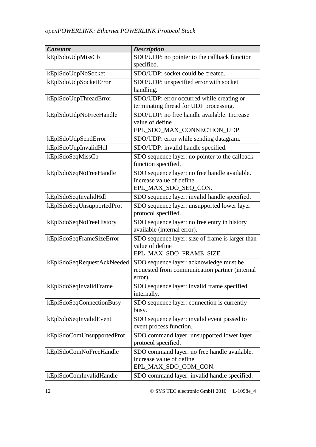| <b>Constant</b>            | <b>Description</b>                                        |
|----------------------------|-----------------------------------------------------------|
| kEplSdoUdpMissCb           | SDO/UDP: no pointer to the callback function              |
|                            | specified.                                                |
| kEplSdoUdpNoSocket         | SDO/UDP: socket could be created.                         |
| kEplSdoUdpSocketError      | SDO/UDP: unspecified error with socket                    |
|                            | handling.                                                 |
| kEplSdoUdpThreadError      | SDO/UDP: error occurred while creating or                 |
|                            | terminating thread for UDP processing.                    |
| kEplSdoUdpNoFreeHandle     | SDO/UDP: no free handle available. Increase               |
|                            | value of define                                           |
|                            | EPL_SDO_MAX_CONNECTION_UDP.                               |
| kEplSdoUdpSendError        | SDO/UDP: error while sending datagram.                    |
| kEplSdoUdpInvalidHdl       | SDO/UDP: invalid handle specified.                        |
| kEplSdoSeqMissCb           | SDO sequence layer: no pointer to the callback            |
|                            | function specified.                                       |
| kEplSdoSeqNoFreeHandle     | SDO sequence layer: no free handle available.             |
|                            | Increase value of define                                  |
|                            | EPL_MAX_SDO_SEQ_CON.                                      |
| kEplSdoSeqInvalidHdl       | SDO sequence layer: invalid handle specified.             |
| kEplSdoSeqUnsupportedProt  | SDO sequence layer: unsupported lower layer               |
|                            | protocol specified.                                       |
| kEplSdoSeqNoFreeHistory    | SDO sequence layer: no free entry in history              |
|                            | available (internal error).                               |
| kEplSdoSeqFrameSizeError   | SDO sequence layer: size of frame is larger than          |
|                            | value of define                                           |
|                            | EPL_MAX_SDO_FRAME_SIZE.                                   |
| kEplSdoSeqRequestAckNeeded | SDO sequence layer: acknowledge must be                   |
|                            | requested from communication partner (internal<br>error). |
| kEplSdoSeqInvalidFrame     | SDO sequence layer: invalid frame specified               |
|                            | internally.                                               |
| kEplSdoSeqConnectionBusy   | SDO sequence layer: connection is currently               |
|                            | busy.                                                     |
| kEplSdoSeqInvalidEvent     | SDO sequence layer: invalid event passed to               |
|                            | event process function.                                   |
| kEplSdoComUnsupportedProt  | SDO command layer: unsupported lower layer                |
|                            | protocol specified.                                       |
| kEplSdoComNoFreeHandle     | SDO command layer: no free handle available.              |
|                            | Increase value of define                                  |
|                            | EPL_MAX_SDO_COM_CON.                                      |
| kEplSdoComInvalidHandle    | SDO command layer: invalid handle specified.              |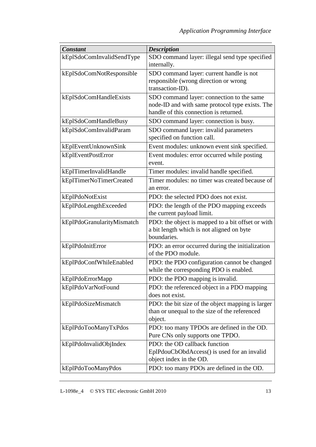| <b>Constant</b>            | <b>Description</b>                                                                                                                     |
|----------------------------|----------------------------------------------------------------------------------------------------------------------------------------|
| kEplSdoComInvalidSendType  | SDO command layer: illegal send type specified<br>internally.                                                                          |
| kEplSdoComNotResponsible   | SDO command layer: current handle is not<br>responsible (wrong direction or wrong<br>transaction-ID).                                  |
| kEplSdoComHandleExists     | SDO command layer: connection to the same<br>node-ID and with same protocol type exists. The<br>handle of this connection is returned. |
| kEplSdoComHandleBusy       | SDO command layer: connection is busy.                                                                                                 |
| kEplSdoComInvalidParam     | SDO command layer: invalid parameters<br>specified on function call.                                                                   |
| kEplEventUnknownSink       | Event modules: unknown event sink specified.                                                                                           |
| kEplEventPostError         | Event modules: error occurred while posting<br>event.                                                                                  |
| kEplTimerInvalidHandle     | Timer modules: invalid handle specified.                                                                                               |
| kEplTimerNoTimerCreated    | Timer modules: no timer was created because of<br>an error.                                                                            |
| kEplPdoNotExist            | PDO: the selected PDO does not exist.                                                                                                  |
| kEplPdoLengthExceeded      | PDO: the length of the PDO mapping exceeds<br>the current payload limit.                                                               |
| kEplPdoGranularityMismatch | PDO: the object is mapped to a bit offset or with<br>a bit length which is not aligned on byte<br>boundaries.                          |
| kEplPdoInitError           | PDO: an error occurred during the initialization<br>of the PDO module.                                                                 |
| kEplPdoConfWhileEnabled    | PDO: the PDO configuration cannot be changed<br>while the corresponding PDO is enabled.                                                |
| kEplPdoErrorMapp           | PDO: the PDO mapping is invalid.                                                                                                       |
| kEplPdoVarNotFound         | PDO: the referenced object in a PDO mapping<br>does not exist.                                                                         |
| kEplPdoSizeMismatch        | PDO: the bit size of the object mapping is larger<br>than or unequal to the size of the referenced<br>object.                          |
| kEplPdoTooManyTxPdos       | PDO: too many TPDOs are defined in the OD.<br>Pure CNs only supports one TPDO.                                                         |
| kEplPdoInvalidObjIndex     | PDO: the OD callback function<br>EplPdouCbObdAccess() is used for an invalid<br>object index in the OD.                                |
| kEplPdoTooManyPdos         | PDO: too many PDOs are defined in the OD.                                                                                              |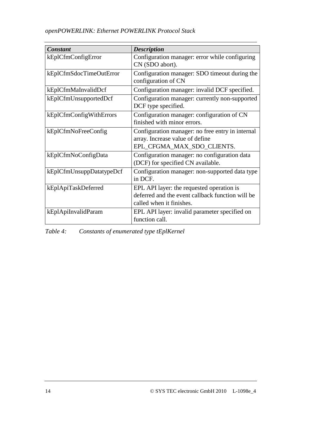| <b>Constant</b>          | <b>Description</b>                                                                                                        |
|--------------------------|---------------------------------------------------------------------------------------------------------------------------|
| kEplCfmConfigError       | Configuration manager: error while configuring<br>CN (SDO abort).                                                         |
| kEplCfmSdocTimeOutError  | Configuration manager: SDO timeout during the<br>configuration of CN                                                      |
| kEplCfmMaInvalidDcf      | Configuration manager: invalid DCF specified.                                                                             |
| kEplCfmUnsupportedDcf    | Configuration manager: currently non-supported<br>DCF type specified.                                                     |
| kEplCfmConfigWithErrors  | Configuration manager: configuration of CN<br>finished with minor errors.                                                 |
| kEplCfmNoFreeConfig      | Configuration manager: no free entry in internal<br>array. Increase value of define<br>EPL_CFGMA_MAX_SDO_CLIENTS.         |
| kEplCfmNoConfigData      | Configuration manager: no configuration data<br>(DCF) for specified CN available.                                         |
| kEplCfmUnsuppDatatypeDcf | Configuration manager: non-supported data type<br>in DCF.                                                                 |
| kEplApiTaskDeferred      | EPL API layer: the requested operation is<br>deferred and the event callback function will be<br>called when it finishes. |
| kEplApiInvalidParam      | EPL API layer: invalid parameter specified on<br>function call.                                                           |

*Table 4: Constants of enumerated type tEplKernel*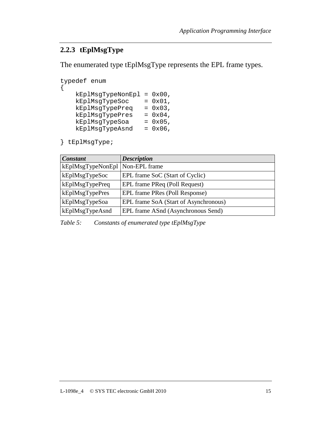#### **2.2.3 tEplMsgType**

The enumerated type tEplMsgType represents the EPL frame types.

```
typedef enum 
{ 
    kEplMsgTypeNonEpl = 0x00, 
    kEplMsgTypeSoc = 0x01, 
 kEplMsgTypePreq = 0x03, 
 kEplMsgTypePres = 0x04, 
 kEplMsgTypeSoa = 0x05, 
 kEplMsgTypeAsnd = 0x06,
```
} tEplMsgType;

| <b>Constant</b>                   | <b>Description</b>                    |
|-----------------------------------|---------------------------------------|
| kEplMsgTypeNonEpl   Non-EPL frame |                                       |
| kEplMsgTypeSoc                    | EPL frame SoC (Start of Cyclic)       |
| kEplMsgTypePreq                   | EPL frame PReq (Poll Request)         |
| kEplMsgTypePres                   | EPL frame PRes (Poll Response)        |
| kEplMsgTypeSoa                    | EPL frame SoA (Start of Asynchronous) |
| kEplMsgTypeAsnd                   | EPL frame ASnd (Asynchronous Send)    |

*Table 5: Constants of enumerated type tEplMsgType*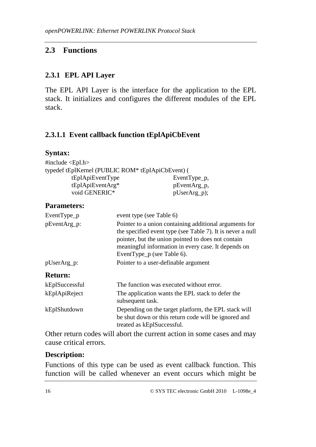## **2.3 Functions**

#### **2.3.1 EPL API Layer**

The EPL API Layer is the interface for the application to the EPL stack. It initializes and configures the different modules of the EPL stack.

## **2.3.1.1 Event callback function tEplApiCbEvent**

#### **Syntax:**

| #include <epl.h><br/>typedef tEplKernel (PUBLIC ROM* tEplApiCbEvent) (</epl.h> |                                                                                                                                                                                                                                                                 |                                                                                                              |
|--------------------------------------------------------------------------------|-----------------------------------------------------------------------------------------------------------------------------------------------------------------------------------------------------------------------------------------------------------------|--------------------------------------------------------------------------------------------------------------|
| tEplApiEventType                                                               |                                                                                                                                                                                                                                                                 | EventType_p,                                                                                                 |
| tEplApiEventArg*                                                               |                                                                                                                                                                                                                                                                 | pEventArg_p,                                                                                                 |
| void GENERIC*                                                                  |                                                                                                                                                                                                                                                                 | pUserArg_p);                                                                                                 |
| <b>Parameters:</b>                                                             |                                                                                                                                                                                                                                                                 |                                                                                                              |
| EventType_p                                                                    | event type (see Table 6)                                                                                                                                                                                                                                        |                                                                                                              |
| pEventArg_p:                                                                   | Pointer to a union containing additional arguments for<br>the specified event type (see Table 7). It is never a null<br>pointer, but the union pointed to does not contain<br>meaningful information in every case. It depends on<br>EventType_p (see Table 6). |                                                                                                              |
| pUserArg_p:                                                                    | Pointer to a user-definable argument                                                                                                                                                                                                                            |                                                                                                              |
| <b>Return:</b>                                                                 |                                                                                                                                                                                                                                                                 |                                                                                                              |
| kEplSuccessful                                                                 | The function was executed without error.                                                                                                                                                                                                                        |                                                                                                              |
| kEplApiReject                                                                  | subsequent task.                                                                                                                                                                                                                                                | The application wants the EPL stack to defer the                                                             |
| kEplShutdown                                                                   | treated as kEplSuccessful.                                                                                                                                                                                                                                      | Depending on the target platform, the EPL stack will<br>be shut down or this return code will be ignored and |

Other return codes will abort the current action in some cases and may cause critical errors.

#### **Description:**

Functions of this type can be used as event callback function. This function will be called whenever an event occurs which might be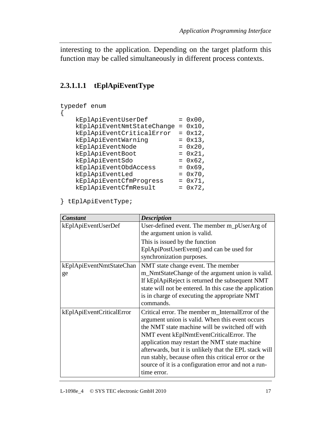interesting to the application. Depending on the target platform this function may be called simultaneously in different process contexts.

## **2.3.1.1.1 tEplApiEventType**

```
typedef enum 
\{kEp1ApiEventUserDef = 0x00, kEplApiEventNmtStateChange = 0x10, 
   kEplApiEventCriticalError = 0x12, 
kEplApiEventWarning = 0x13,
kEp1ApiEventNode = 0x20,kEp1ApiEventBook = 0x21, kEplApiEventSdo = 0x62, 
kEplApiEventObdAccess = 0x69,
kEp1ApiEventLed = 0x70,
 kEplApiEventCfmProgress = 0x71, 
kEplApiEventCfmResult = 0x72,
```
} tEplApiEventType;

| <b>Constant</b>           | <b>Description</b>                                      |
|---------------------------|---------------------------------------------------------|
| kEplApiEventUserDef       | User-defined event. The member m_pUserArg of            |
|                           | the argument union is valid.                            |
|                           | This is issued by the function                          |
|                           | EplApiPostUserEvent() and can be used for               |
|                           | synchronization purposes.                               |
| kEplApiEventNmtStateChan  | NMT state change event. The member                      |
| ge                        | m_NmtStateChange of the argument union is valid.        |
|                           | If kEplApiReject is returned the subsequent NMT         |
|                           | state will not be entered. In this case the application |
|                           | is in charge of executing the appropriate NMT           |
|                           | commands.                                               |
| kEplApiEventCriticalError | Critical error. The member m_InternalError of the       |
|                           | argument union is valid. When this event occurs         |
|                           | the NMT state machine will be switched off with         |
|                           | NMT event kEplNmtEventCriticalError. The                |
|                           | application may restart the NMT state machine           |
|                           | afterwards, but it is unlikely that the EPL stack will  |
|                           | run stably, because often this critical error or the    |
|                           | source of it is a configuration error and not a run-    |
|                           | time error.                                             |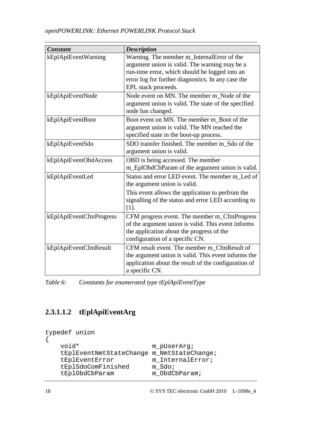| <b>Constant</b>         | <b>Description</b>                                                                                                                                                                                                         |
|-------------------------|----------------------------------------------------------------------------------------------------------------------------------------------------------------------------------------------------------------------------|
| kEplApiEventWarning     | Warning. The member m_InternalError of the<br>argument union is valid. The warning may be a<br>run-time error, which should be logged into an<br>error log for further diagnostics. In any case the<br>EPL stack proceeds. |
| kEplApiEventNode        | Node event on MN. The member m Node of the<br>argument union is valid. The state of the specified<br>node has changed.                                                                                                     |
| kEplApiEventBoot        | Boot event on MN. The member m Boot of the<br>argument union is valid. The MN reached the<br>specified state in the boot-up process.                                                                                       |
| kEplApiEventSdo         | SDO transfer finished. The member m Sdo of the<br>argument union is valid.                                                                                                                                                 |
| kEplApiEventObdAccess   | OBD is being accessed. The member<br>m_EplObdCbParam of the argument union is valid.                                                                                                                                       |
| kEplApiEventLed         | Status and error LED event. The member m Led of<br>the argument union is valid.<br>This event allows the application to perfrom the<br>signalling of the status and error LED according to                                 |
|                         | $[1]$ .                                                                                                                                                                                                                    |
| kEplApiEventCfmProgress | CFM progress event. The member m_CfmProgress<br>of the argument union is valid. This event informs<br>the application about the progress of the<br>configuration of a specific CN.                                         |
| kEplApiEventCfmResult   | CFM result event. The member m_CfmResult of<br>the argument union is valid. This event informs the<br>application about the result of the configuration of<br>a specific CN.                                               |

*Table 6: Constants for enumerated type tEplApiEventType* 

## **2.3.1.1.2 tEplApiEventArg**

```
typedef union 
\{ void* m_pUserArg; 
    tEplEventNmtStateChange m_NmtStateChange; 
    tEplEventError m_InternalError; 
    tEplSdoComFinished m_Sdo; 
   tEplObdCbParam m_ObdCbParam;
```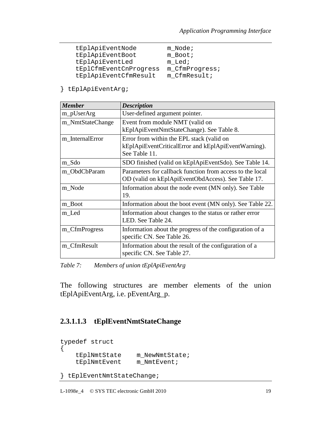| tEplApiEventNode       | m Node;        |
|------------------------|----------------|
| tEplApiEventBoot       | m Boot;        |
| tEplApiEventLed        | m Led;         |
| tEplCfmEventCnProgress | m CfmProgress; |
| tEplApiEventCfmResult  | m CfmResult;   |

} tEplApiEventArg;

| <b>Member</b>    | <b>Description</b>                                        |  |
|------------------|-----------------------------------------------------------|--|
| m_pUserArg       | User-defined argument pointer.                            |  |
| m_NmtStateChange | Event from module NMT (valid on                           |  |
|                  | kEplApiEventNmtStateChange). See Table 8.                 |  |
| m InternalError  | Error from within the EPL stack (valid on                 |  |
|                  | kEplApiEventCriticalError and kEplApiEventWarning).       |  |
|                  | See Table 11.                                             |  |
| m_Sdo            | SDO finished (valid on kEplApiEventSdo). See Table 14.    |  |
| m_ObdCbParam     | Parameters for callback function from access to the local |  |
|                  | OD (valid on kEplApiEventObdAccess). See Table 17.        |  |
| m Node           | Information about the node event (MN only). See Table     |  |
|                  | 19.                                                       |  |
| m_Boot           | Information about the boot event (MN only). See Table 22. |  |
| m_Led            | Information about changes to the status or rather error   |  |
|                  | LED. See Table 24.                                        |  |
| m_CfmProgress    | Information about the progress of the configuration of a  |  |
|                  | specific CN. See Table 26.                                |  |
| m CfmResult      | Information about the result of the configuration of a    |  |
|                  | specific CN. See Table 27.                                |  |

*Table 7: Members of union tEplApiEventArg* 

The following structures are member elements of the union tEplApiEventArg, i.e. pEventArg\_p.

#### **2.3.1.1.3 tEplEventNmtStateChange**

```
typedef struct 
{ 
     tEplNmtState m_NewNmtState; 
     tEplNmtEvent m_NmtEvent;
```

```
} tEplEventNmtStateChange;
```
L-1098e\_4 © SYS TEC electronic GmbH 2010 19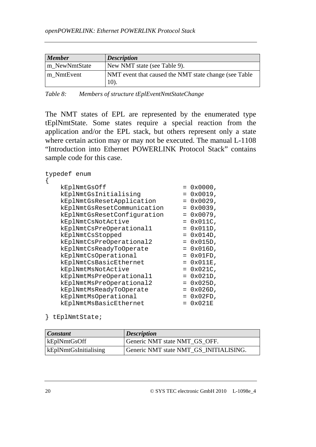| <b>Member</b> | <b>Description</b>                                            |
|---------------|---------------------------------------------------------------|
| m NewNmtState | New NMT state (see Table 9).                                  |
| m NmtEvent    | NMT event that caused the NMT state change (see Table<br>10). |

The NMT states of EPL are represented by the enumerated type tEplNmtState. Some states require a special reaction from the application and/or the EPL stack, but others represent only a state where certain action may or may not be executed. The manual L-1108 "Introduction into Ethernet POWERLINK Protocol Stack" contains sample code for this case.

| typedef enum                |     |                 |
|-----------------------------|-----|-----------------|
| kEplNmtGsOff                |     | $= 0x0000,$     |
| kEplNmtGsInitialising       |     | $= 0x0019$ ,    |
| kEplNmtGsResetApplication   | $=$ | 0x0029,         |
| kEplNmtGsResetCommunication | $=$ | 0x0039,         |
| kEplNmtGsResetConfiguration |     | $= 0x0079$ ,    |
| kEplNmtCsNotActive          |     | $= 0x011C,$     |
| kEplNmtCsPreOperational1    | $=$ | $0x011D$ ,      |
| kEplNmtCsStopped            | $=$ | 0x014D,         |
| kEplNmtCsPreOperational2    |     | $= 0x015D,$     |
| kEplNmtCsReadyToOperate     |     | $= 0x016D,$     |
| kEplNmtCsOperational        |     | $= 0x01FD,$     |
| kEplNmtCsBasicEthernet      |     | $= 0x011E,$     |
| kEplNmtMsNotActive          |     | $= 0x021C,$     |
| kEplNmtMsPreOperational1    |     | $= 0x021D,$     |
| kEplNmtMsPreOperational2    |     | $= 0x025D,$     |
| kEplNmtMsReadyToOperate     | $=$ | $0x026D$ ,      |
| kEplNmtMsOperational        |     | $0x02FD$ ,      |
| kEplNmtMsBasicEthernet      | $=$ | $0 \times 021E$ |
|                             |     |                 |

} tEplNmtState;

| <b>Constant</b>              | <i>Description</i>                     |
|------------------------------|----------------------------------------|
| kEplNmtGsOff                 | Generic NMT state NMT GS OFF.          |
| <b>kEplNmtGsInitialising</b> | Generic NMT state NMT GS INITIALISING. |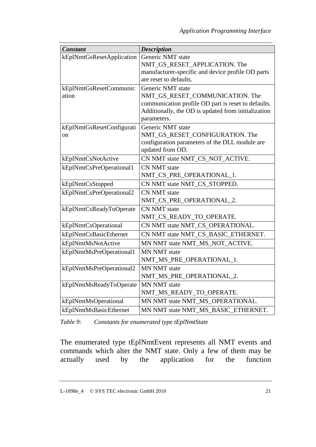| <b>Constant</b>           | <b>Description</b>                                  |
|---------------------------|-----------------------------------------------------|
| kEplNmtGsResetApplication | Generic NMT state                                   |
|                           | NMT_GS_RESET_APPLICATION. The                       |
|                           | manufacturer-specific and device profile OD parts   |
|                           | are reset to defaults.                              |
| kEplNmtGsResetCommunic    | Generic NMT state                                   |
| ation                     | NMT_GS_RESET_COMMUNICATION. The                     |
|                           | communication profile OD part is reset to defaults. |
|                           | Additionally, the OD is updated from initialization |
|                           | parameters.                                         |
| kEplNmtGsResetConfigurati | Generic NMT state                                   |
| on                        | NMT_GS_RESET_CONFIGURATION. The                     |
|                           | configuration parameters of the DLL module are      |
|                           | updated from OD.                                    |
| kEplNmtCsNotActive        | CN NMT state NMT_CS_NOT_ACTIVE.                     |
| kEplNmtCsPreOperational1  | <b>CN NMT</b> state                                 |
|                           | NMT_CS_PRE_OPERATIONAL_1.                           |
| kEplNmtCsStopped          | CN NMT state NMT_CS_STOPPED.                        |
| kEplNmtCsPreOperational2  | <b>CN NMT</b> state                                 |
|                           | NMT_CS_PRE_OPERATIONAL_2.                           |
| kEplNmtCsReadyToOperate   | <b>CN NMT</b> state                                 |
|                           | NMT_CS_READY_TO_OPERATE.                            |
| kEplNmtCsOperational      | CN NMT state NMT_CS_OPERATIONAL.                    |
| kEplNmtCsBasicEthernet    | CN NMT state NMT_CS_BASIC_ETHERNET.                 |
| kEplNmtMsNotActive        | MN NMT state NMT_MS_NOT_ACTIVE.                     |
| kEplNmtMsPreOperational1  | <b>MN NMT</b> state                                 |
|                           | NMT_MS_PRE_OPERATIONAL_1.                           |
| kEplNmtMsPreOperational2  | <b>MN NMT</b> state                                 |
|                           | NMT_MS_PRE_OPERATIONAL_2.                           |
| kEplNmtMsReadyToOperate   | <b>MN NMT</b> state                                 |
|                           | NMT_MS_READY_TO_OPERATE.                            |
| kEplNmtMsOperational      | MN NMT state NMT_MS_OPERATIONAL.                    |
| kEplNmtMsBasicEthernet    | MN NMT state NMT MS BASIC ETHERNET.                 |

*Table 9: Constants for enumerated type tEplNmtState*

The enumerated type tEplNmtEvent represents all NMT events and commands which alter the NMT state. Only a few of them may be actually used by the application for the function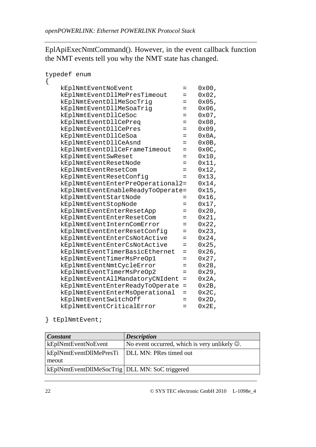EplApiExecNmtCommand(). However, in the event callback function the NMT events tell you why the NMT state has changed.

| typedef enum                      |     |          |
|-----------------------------------|-----|----------|
| {                                 |     |          |
| kEplNmtEventNoEvent               | =   | $0x00$ , |
| kEplNmtEventDllMePresTimeout      | $=$ | $0x02$ , |
| kEplNmtEventDllMeSocTrig          | $=$ | $0x05$ , |
| kEplNmtEventDllMeSoaTrig          | $=$ | $0x06$ , |
| kEplNmtEventDllCeSoc              | $=$ | $0x07$ , |
| kEplNmtEventDllCePreq             | $=$ | $0x08$ , |
| kEplNmtEventDllCePres             | $=$ | $0x09$ , |
| kEplNmtEventDllCeSoa              | =   | $0x0A$ , |
| kEplNmtEventDllCeAsnd             | $=$ | $0x0B$ , |
| kEplNmtEventDllCeFrameTimeout     | $=$ | $0x0C$ , |
| kEplNmtEventSwReset               | $=$ | $0x10$ , |
| kEplNmtEventResetNode             | $=$ | 0x11,    |
| kEplNmtEventResetCom              | $=$ | $0x12$ , |
| kEplNmtEventResetConfig           | $=$ | $0x13$ , |
| kEplNmtEventEnterPreOperational2= |     | $0x14$ , |
| kEplNmtEventEnableReadyToOperate= |     | 0x15,    |
| kEplNmtEventStartNode             | $=$ | $0x16$ , |
| kEplNmtEventStopNode              | $=$ | $0x17$ , |
| kEplNmtEventEnterResetApp         | =   | 0x20,    |
| kEplNmtEventEnterResetCom         | $=$ | $0x21$ , |
| kEplNmtEventInternComError        | $=$ | 0x22,    |
| kEplNmtEventEnterResetConfig      | $=$ | $0x23$ , |
| kEplNmtEventEnterCsNotActive      | $=$ | $0x24$ , |
| kEplNmtEventEnterCsNotActive      | $=$ | $0x25$ , |
| kEplNmtEventTimerBasicEthernet    | $=$ | $0x26$ , |
| kEplNmtEventTimerMsPreOp1         | $=$ | $0x27$ , |
| kEplNmtEventNmtCycleError         | $=$ | 0x28,    |
| kEplNmtEventTimerMsPreOp2         | $=$ | $0x29$ , |
| kEplNmtEventAllMandatoryCNIdent   | $=$ | $0x2A$ , |
| kEplNmtEventEnterReadyToOperate   | $=$ | $0x2B$ , |
| kEplNmtEventEnterMsOperational    | =   | $0x2C$ , |
| kEplNmtEventSwitchOff             | $=$ | $0x2D$ , |
| kEplNmtEventCriticalError         |     | $0x2E$ . |

} tEplNmtEvent;

| <b>Constant</b>                                  | <b>Description</b>                                         |
|--------------------------------------------------|------------------------------------------------------------|
| kEplNmtEventNoEvent                              | No event occurred, which is very unlikely $\circledcirc$ . |
| kEplNmtEventDllMePresTi   DLL MN: PRes timed out |                                                            |
| meout                                            |                                                            |
| kEplNmtEventDllMeSocTrig   DLL MN: SoC triggered |                                                            |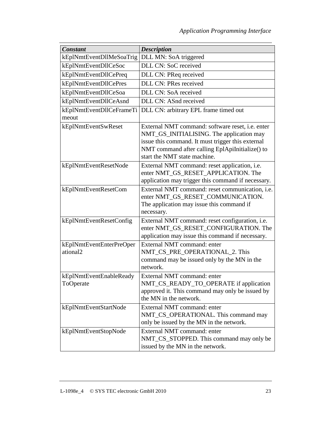| <b>Constant</b>                      | <b>Description</b>                                                                                                                                                                                                                   |
|--------------------------------------|--------------------------------------------------------------------------------------------------------------------------------------------------------------------------------------------------------------------------------------|
| kEplNmtEventDllMeSoaTrig             | DLL MN: SoA triggered                                                                                                                                                                                                                |
| kEplNmtEventDllCeSoc                 | DLL CN: SoC received                                                                                                                                                                                                                 |
| kEplNmtEventDllCePreq                | DLL CN: PReq received                                                                                                                                                                                                                |
| kEplNmtEventDllCePres                | DLL CN: PRes received                                                                                                                                                                                                                |
| kEplNmtEventDllCeSoa                 | DLL CN: SoA received                                                                                                                                                                                                                 |
| kEplNmtEventDllCeAsnd                | DLL CN: ASnd received                                                                                                                                                                                                                |
| kEplNmtEventDllCeFrameTi<br>meout    | DLL CN: arbitrary EPL frame timed out                                                                                                                                                                                                |
| kEplNmtEventSwReset                  | External NMT command: software reset, i.e. enter<br>NMT_GS_INITIALISING. The application may<br>issue this command. It must trigger this external<br>NMT command after calling EplApiInitialize() to<br>start the NMT state machine. |
| kEplNmtEventResetNode                | External NMT command: reset application, i.e.<br>enter NMT_GS_RESET_APPLICATION. The<br>application may trigger this command if necessary.                                                                                           |
| kEplNmtEventResetCom                 | External NMT command: reset communication, <i>i.e.</i><br>enter NMT_GS_RESET_COMMUNICATION.<br>The application may issue this command if<br>necessary.                                                                               |
| kEplNmtEventResetConfig              | External NMT command: reset configuration, i.e.<br>enter NMT_GS_RESET_CONFIGURATION. The<br>application may issue this command if necessary.                                                                                         |
| kEplNmtEventEnterPreOper<br>ational2 | External NMT command: enter<br>NMT_CS_PRE_OPERATIONAL_2. This<br>command may be issued only by the MN in the<br>network.                                                                                                             |
| kEplNmtEventEnableReady<br>ToOperate | External NMT command: enter<br>NMT_CS_READY_TO_OPERATE if application<br>approved it. This command may only be issued by<br>the MN in the network.                                                                                   |
| kEplNmtEventStartNode                | External NMT command: enter<br>NMT_CS_OPERATIONAL. This command may<br>only be issued by the MN in the network.                                                                                                                      |
| kEplNmtEventStopNode                 | External NMT command: enter<br>NMT_CS_STOPPED. This command may only be<br>issued by the MN in the network.                                                                                                                          |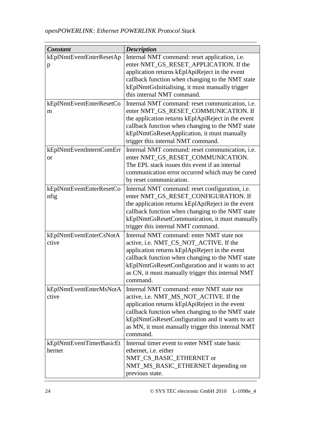| <b>Constant</b>                       | <b>Description</b>                                                                                                                                                                                                                                                                                            |
|---------------------------------------|---------------------------------------------------------------------------------------------------------------------------------------------------------------------------------------------------------------------------------------------------------------------------------------------------------------|
| kEplNmtEventEnterResetAp<br>p         | Internal NMT command: reset application, i.e.<br>enter NMT_GS_RESET_APPLICATION. If the<br>application returns kEplApiReject in the event<br>callback function when changing to the NMT state<br>kEplNmtGsInitialising, it must manually trigger<br>this internal NMT command.                                |
| kEplNmtEventEnterResetCo<br>m         | Internal NMT command: reset communication, <i>i.e.</i><br>enter NMT_GS_RESET_COMMUNICATION. If<br>the application returns kEplApiReject in the event<br>callback function when changing to the NMT state<br>kEplNmtGsResetApplication, it must manually<br>trigger this internal NMT command.                 |
| kEplNmtEventInternComErr<br><b>or</b> | Internal NMT command: reset communication, i.e.<br>enter NMT_GS_RESET_COMMUNICATION.<br>The EPL stack issues this event if an internal<br>communication error occurred which may be cured<br>by reset communication.                                                                                          |
| kEplNmtEventEnterResetCo<br>nfig      | Internal NMT command: reset configuration, i.e.<br>enter NMT_GS_RESET_CONFIGURATION. If<br>the application returns kEplApiReject in the event<br>callback function when changing to the NMT state<br>kEplNmtGsResetCommunication, it must manually<br>trigger this internal NMT command.                      |
| kEplNmtEventEnterCsNotA<br>ctive      | Internal NMT command: enter NMT state not<br>active, i.e. NMT_CS_NOT_ACTIVE. If the<br>application returns kEplApiReject in the event<br>callback function when changing to the NMT state<br>kEplNmtGsResetConfiguration and it wants to act<br>as CN, it must manually trigger this internal NMT<br>command. |
| kEplNmtEventEnterMsNotA<br>ctive      | Internal NMT command: enter NMT state not<br>active, i.e. NMT_MS_NOT_ACTIVE. If the<br>application returns kEplApiReject in the event<br>callback function when changing to the NMT state<br>kEplNmtGsResetConfiguration and it wants to act<br>as MN, it must manually trigger this internal NMT<br>command. |
| kEplNmtEventTimerBasicEt<br>hernet    | Internal timer event to enter NMT state basic<br>ethernet, <i>i.e.</i> either<br>NMT_CS_BASIC_ETHERNET or<br>NMT_MS_BASIC_ETHERNET depending on<br>previous state.                                                                                                                                            |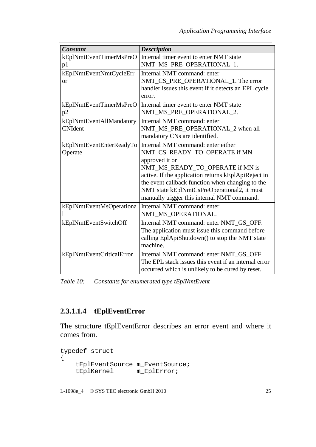| <b>Constant</b>           | <b>Description</b>                                                                              |
|---------------------------|-------------------------------------------------------------------------------------------------|
| kEplNmtEventTimerMsPreO   | Internal timer event to enter NMT state                                                         |
| p1                        | NMT_MS_PRE_OPERATIONAL_1.                                                                       |
| kEplNmtEventNmtCycleErr   | Internal NMT command: enter                                                                     |
| $\alpha$                  | NMT_CS_PRE_OPERATIONAL_1. The error                                                             |
|                           | handler issues this event if it detects an EPL cycle                                            |
|                           | error.                                                                                          |
| kEplNmtEventTimerMsPreO   | Internal timer event to enter NMT state                                                         |
| p2                        | NMT_MS_PRE_OPERATIONAL_2.                                                                       |
| kEplNmtEventAllMandatory  | Internal NMT command: enter                                                                     |
| <b>CNIdent</b>            | NMT_MS_PRE_OPERATIONAL_2 when all                                                               |
|                           | mandatory CNs are identified.                                                                   |
| kEplNmtEventEnterReadyTo  | Internal NMT command: enter either                                                              |
| Operate                   | NMT_CS_READY_TO_OPERATE if MN                                                                   |
|                           | approved it or                                                                                  |
|                           | NMT_MS_READY_TO_OPERATE if MN is                                                                |
|                           | active. If the application returns kEplApiReject in                                             |
|                           | the event callback function when changing to the<br>NMT state kEplNmtCsPreOperational2, it must |
|                           | manually trigger this internal NMT command.                                                     |
| kEplNmtEventMsOperationa  | Internal NMT command: enter                                                                     |
|                           | NMT_MS_OPERATIONAL.                                                                             |
| kEplNmtEventSwitchOff     | Internal NMT command: enter NMT_GS_OFF.                                                         |
|                           | The application must issue this command before                                                  |
|                           | calling EplApiShutdown() to stop the NMT state                                                  |
|                           | machine.                                                                                        |
| kEplNmtEventCriticalError | Internal NMT command: enter NMT_GS_OFF.                                                         |
|                           | The EPL stack issues this event if an internal error                                            |
|                           | occurred which is unlikely to be cured by reset.                                                |

*Table 10: Constants for enumerated type tEplNmtEvent* 

## **2.3.1.1.4 tEplEventError**

The structure tEplEventError describes an error event and where it comes from.

```
typedef struct 
{ 
      tEplEventSource m_EventSource;<br>tEplKernel m_EplError;
                             m_EplError;
```
L-1098e\_4 © SYS TEC electronic GmbH 2010 25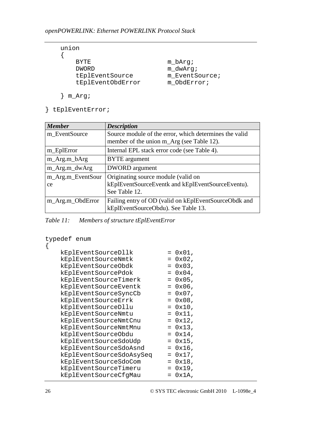| union |                   |
|-------|-------------------|
|       |                   |
|       | <b>BYTE</b>       |
|       | <b>DWORD</b>      |
|       | tEplEventSource   |
|       | tEplEventObdError |
|       |                   |

m bArq; m\_dwArg; m\_EventSource; m\_ObdError;

```
 } m_Arg;
```
} tEplEventError;

| <b>Member</b>     | <b>Description</b>                                     |
|-------------------|--------------------------------------------------------|
| m_EventSource     | Source module of the error, which determines the valid |
|                   | member of the union m_Arg (see Table 12).              |
| m_EplError        | Internal EPL stack error code (see Table 4).           |
| m_Arg.m_bArg      | <b>BYTE</b> argument                                   |
| m_Arg.m_dwArg     | <b>DWORD</b> argument                                  |
| m_Arg.m_EventSour | Originating source module (valid on                    |
| ce                | kEplEventSourceEventk and kEplEventSourceEventu).      |
|                   | See Table 12.                                          |
| m_Arg.m_ObdError  | Failing entry of OD (valid on kEplEventSourceObdk and  |
|                   | kEplEventSourceObdu). See Table 13.                    |

*Table 11: Members of structure tEplEventError* 

```
typedef enum 
{ 
   kEp1EventSourceD11k = 0x01,kEp1EventSourceNmtk = 0x02,
   kEp1EventSourceObdk = 0x03,
   kEp1EventSourcePdok = 0x04,kEplEventSourceTimerk = 0x05,
kEplEventSourceEventk = 0x06,
   kEp1EventSourceSyncCb = 0x07,
   kEp1EventSourceErrk = 0x08,<br>kEp1EventSourceD11u = 0x10,kEplEventSourceDllu = 0x10,
kEplEventSourceNmtu = 0x11,
   kEplEventSourceNmtCnu = 0x12,
   kEplEventSourceNmtMnu = 0x13,
   kEplEventSourceObdu = 0x14,
kEplEventSourceSdoUdp = 0x15,
kEplEventSourceSdoAsnd = 0x16,
 kEplEventSourceSdoAsySeq = 0x17, 
   kEplEventSourceSdoCom = 0x18,
   kEp1EventSourceTimeru = 0x19,
    kEplEventSourceCfgMau = 0x1A,
```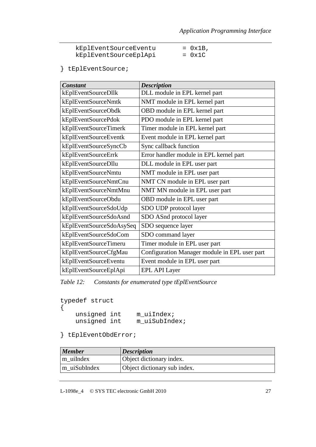| kEplEventSourceEventu | $= 0x1B$ , |
|-----------------------|------------|
| kEplEventSourceEplApi | $= 0x1C$   |

} tEplEventSource;

| <b>Constant</b>          | <b>Description</b>                            |
|--------------------------|-----------------------------------------------|
| kEplEventSourceDllk      | DLL module in EPL kernel part                 |
| kEplEventSourceNmtk      | NMT module in EPL kernel part                 |
| kEplEventSourceObdk      | OBD module in EPL kernel part                 |
| kEplEventSourcePdok      | PDO module in EPL kernel part                 |
| kEplEventSourceTimerk    | Timer module in EPL kernel part               |
| kEplEventSourceEventk    | Event module in EPL kernel part               |
| kEplEventSourceSyncCb    | Sync callback function                        |
| kEplEventSourceErrk      | Error handler module in EPL kernel part       |
| kEplEventSourceDllu      | DLL module in EPL user part                   |
| kEplEventSourceNmtu      | NMT module in EPL user part                   |
| kEplEventSourceNmtCnu    | NMT CN module in EPL user part                |
| kEplEventSourceNmtMnu    | NMT MN module in EPL user part                |
| kEplEventSourceObdu      | OBD module in EPL user part                   |
| kEplEventSourceSdoUdp    | SDO UDP protocol layer                        |
| kEplEventSourceSdoAsnd   | SDO ASnd protocol layer                       |
| kEplEventSourceSdoAsySeq | SDO sequence layer                            |
| kEplEventSourceSdoCom    | SDO command layer                             |
| kEplEventSourceTimeru    | Timer module in EPL user part                 |
| kEplEventSourceCfgMau    | Configuration Manager module in EPL user part |
| kEplEventSourceEventu    | Event module in EPL user part                 |
| kEplEventSourceEplApi    | <b>EPL API Layer</b>                          |

*Table 12: Constants for enumerated type tEplEventSource* 

| typedef struct |  |
|----------------|--|
|                |  |

| unsigned int | m uiIndex;    |
|--------------|---------------|
| unsigned int | m uiSubIndex; |

} tEplEventObdError;

| <b>Member</b> | <i><b>Description</b></i>    |
|---------------|------------------------------|
| m uiIndex     | Object dictionary index.     |
| m uiSubIndex  | Object dictionary sub index. |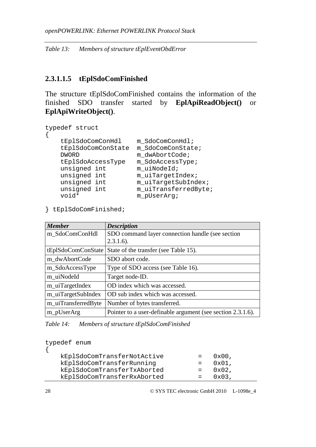*Table 13: Members of structure tEplEventObdError* 

#### **2.3.1.1.5 tEplSdoComFinished**

The structure tEplSdoComFinished contains the information of the finished SDO transfer started by **EplApiReadObject()** or **EplApiWriteObject()**.

```
typedef struct 
{ 
    tEplSdoComConHdl m_SdoComConHdl; 
    tEplSdoComConState m_SdoComConState; 
   DWORD m dwAbortCode;
    tEplSdoAccessType m_SdoAccessType; 
   unsigned int m_uiNodeId;
   unsigned int m_uiTargetIndex;
   unsigned int m_uiTargetSubIndex;
   unsigned int m_uiTransferredByte;
   void* m_pUserArg;
```
} tEplSdoComFinished;

| <b>Member</b>       | <b>Description</b>                                          |
|---------------------|-------------------------------------------------------------|
| m_SdoComConHdl      | SDO command layer connection handle (see section            |
|                     | $2.3.1.6$ ).                                                |
| tEplSdoComConState  | State of the transfer (see Table 15).                       |
| m dwAbortCode       | SDO abort code.                                             |
| m_SdoAccessType     | Type of SDO access (see Table 16).                          |
| m_uiNodeId          | Target node-ID.                                             |
| m_uiTargetIndex     | OD index which was accessed.                                |
| m_uiTargetSubIndex  | OD sub index which was accessed.                            |
| m_uiTransferredByte | Number of bytes transferred.                                |
| m_pUserArg          | Pointer to a user-definable argument (see section 2.3.1.6). |

*Table 14: Members of structure tEplSdoComFinished* 

| typedef enum                |                 |  |
|-----------------------------|-----------------|--|
| kEplSdoComTransferNotActive | $0x00$ ,        |  |
| kEplSdoComTransferRunning   | $0x01$ ,        |  |
| kEplSdoComTransferTxAborted | $0x02$ ,        |  |
| kEplSdoComTransferRxAborted | $0 \times 03$ , |  |
|                             |                 |  |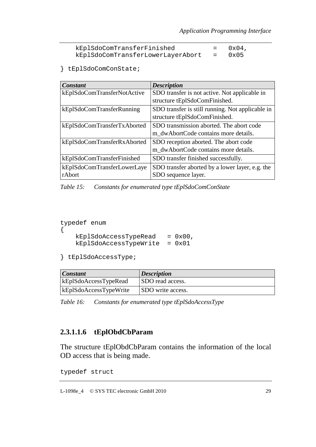| kEplSdoComTransferFinished        | $0x04$ ,         |
|-----------------------------------|------------------|
| kEplSdoComTransferLowerLayerAbort | $= 0 \times 0.5$ |

} tEplSdoComConState;

| Constant                    | <b>Description</b>                               |
|-----------------------------|--------------------------------------------------|
| kEplSdoComTransferNotActive | SDO transfer is not active. Not applicable in    |
|                             | structure tEplSdoComFinished.                    |
| kEplSdoComTransferRunning   | SDO transfer is still running. Not applicable in |
|                             | structure tEplSdoComFinished.                    |
| kEplSdoComTransferTxAborted | SDO transmission aborted. The abort code         |
|                             | m_dwAbortCode contains more details.             |
| kEplSdoComTransferRxAborted | SDO reception aborted. The abort code            |
|                             | m_dwAbortCode contains more details.             |
| kEplSdoComTransferFinished  | SDO transfer finished successfully.              |
| kEplSdoComTransferLowerLaye | SDO transfer aborted by a lower layer, e.g. the  |
| rAbort                      | SDO sequence layer.                              |

*Table 15: Constants for enumerated type tEplSdoComConState* 

```
typedef enum 
{ 
    kEp1SdoAccessTypeRead = <math>0x00</math>, kEplSdoAccessTypeWrite = 0x01
```

```
} tEplSdoAccessType;
```

| <b>Constant</b>        | <i>Description</i>       |
|------------------------|--------------------------|
| kEplSdoAccessTypeRead  | SDO read access.         |
| kEplSdoAccessTypeWrite | <b>SDO</b> write access. |

*Table 16: Constants for enumerated type tEplSdoAccessType* 

### **2.3.1.1.6 tEplObdCbParam**

The structure tEplObdCbParam contains the information of the local OD access that is being made.

typedef struct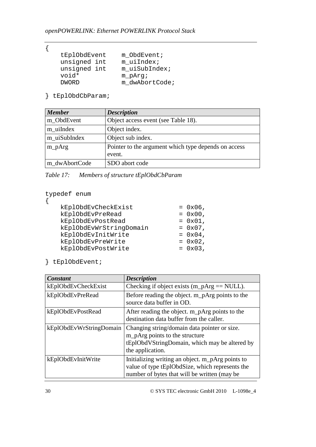{

```
 tEplObdEvent m_ObdEvent; 
 unsigned int m_uiIndex; 
 unsigned int m_uiSubIndex; 
 void* m_pArg; 
  DWORD m_dwAbortCode;
```
} tEplObdCbParam;

| <b>Member</b> | <b>Description</b>                                             |
|---------------|----------------------------------------------------------------|
| m_ObdEvent    | Object access event (see Table 18).                            |
| m_uiIndex     | Object index.                                                  |
| m_uiSubIndex  | Object sub index.                                              |
| $m_pArg$      | Pointer to the argument which type depends on access<br>event. |
| m_dwAbortCode | SDO abort code                                                 |

| Table 17: |  | Members of structure tEplObdCbParam |
|-----------|--|-------------------------------------|
|           |  |                                     |

typedef enum

{

| kEplObdEvCheckExist     | $= 0x06$ , |
|-------------------------|------------|
| kEplObdEvPreRead        | $= 0x00,$  |
| kEplObdEvPostRead       | $= 0x01,$  |
| kEplObdEvWrStringDomain | $= 0x07$ , |
| kEplObdEvInitWrite      | $= 0x04$ , |
| kEplObdEvPreWrite       | $= 0x02$ , |
| kEplObdEvPostWrite      | $= 0x03$ , |
|                         |            |

} tEplObdEvent;

| Constant                | <b>Description</b>                                                                                                                                  |
|-------------------------|-----------------------------------------------------------------------------------------------------------------------------------------------------|
| kEplObdEvCheckExist     | Checking if object exists $(m_pArg == NULL)$ .                                                                                                      |
| kEplObdEvPreRead        | Before reading the object. m_pArg points to the<br>source data buffer in OD.                                                                        |
| kEplObdEvPostRead       | After reading the object. m_pArg points to the<br>destination data buffer from the caller.                                                          |
| kEplObdEvWrStringDomain | Changing string/domain data pointer or size.<br>m_pArg points to the structure<br>tEplObdVStringDomain, which may be altered by<br>the application. |
| kEplObdEvInitWrite      | Initializing writing an object. m_pArg points to<br>value of type tEplObdSize, which represents the<br>number of bytes that will be written (may be |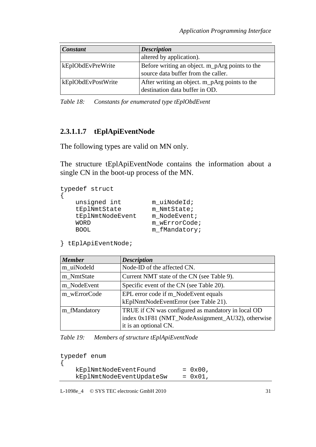| <b>Constant</b>    | <b>Description</b>                                                                    |
|--------------------|---------------------------------------------------------------------------------------|
|                    | altered by application).                                                              |
| kEplObdEvPreWrite  | Before writing an object. m_pArg points to the<br>source data buffer from the caller. |
| kEplObdEvPostWrite | After writing an object. m_pArg points to the<br>destination data buffer in OD.       |

*Table 18: Constants for enumerated type tEplObdEvent* 

### **2.3.1.1.7 tEplApiEventNode**

The following types are valid on MN only.

The structure tEplApiEventNode contains the information about a single CN in the boot-up process of the MN.

```
typedef struct 
{ 
   unsigned int muiNodeId;
    tEplNmtState m_NmtState; 
    tEplNmtNodeEvent m_NodeEvent; 
   WORD m_wErrorCode;
   BOOL m_fMandatory;
```
} tEplApiEventNode;

| <b>Member</b> | <b>Description</b>                                                                                                               |
|---------------|----------------------------------------------------------------------------------------------------------------------------------|
| m_uiNodeId    | Node-ID of the affected CN.                                                                                                      |
| m_NmtState    | Current NMT state of the CN (see Table 9).                                                                                       |
| m_NodeEvent   | Specific event of the CN (see Table 20).                                                                                         |
| m wErrorCode  | EPL error code if m_NodeEvent equals<br>kEplNmtNodeEventError (see Table 21).                                                    |
| m_fMandatory  | TRUE if CN was configured as mandatory in local OD<br>index 0x1F81 (NMT_NodeAssignment_AU32), otherwise<br>it is an optional CN. |

*Table 19: Members of structure tEplApiEventNode* 

| typedef enum             |                   |  |
|--------------------------|-------------------|--|
| kEplNmtNodeEventFound    | $= 0x00$ .        |  |
| kEplNmtNodeEventUpdateSw | $= 0 \times 01$ . |  |

L-1098e\_4 © SYS TEC electronic GmbH 2010 31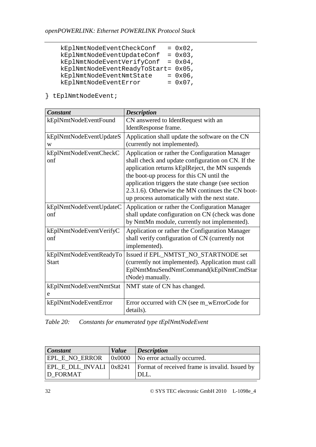| kEplNmtNodeEventCheckConf           | $= 0x02$ , |
|-------------------------------------|------------|
| kEplNmtNodeEventUpdateConf          | $= 0x03$ , |
| kEplNmtNodeEventVerifyConf          | $= 0x04$ , |
| kEplNmtNodeEventReadyToStart= 0x05, |            |
| kEplNmtNodeEventNmtState            | $= 0x06$ , |
| kEplNmtNodeEventError               | $= 0x07$ , |

} tEplNmtNodeEvent;

| <b>Constant</b>                         | <b>Description</b>                                                                                                                                                                                                                                                                                                                                                |
|-----------------------------------------|-------------------------------------------------------------------------------------------------------------------------------------------------------------------------------------------------------------------------------------------------------------------------------------------------------------------------------------------------------------------|
| kEplNmtNodeEventFound                   | CN answered to IdentRequest with an<br>IdentResponse frame.                                                                                                                                                                                                                                                                                                       |
| kEplNmtNodeEventUpdateS<br>W            | Application shall update the software on the CN<br>(currently not implemented).                                                                                                                                                                                                                                                                                   |
| kEplNmtNodeEventCheckC<br>onf           | Application or rather the Configuration Manager<br>shall check and update configuration on CN. If the<br>application returns kEplReject, the MN suspends<br>the boot-up process for this CN until the<br>application triggers the state change (see section<br>2.3.1.6). Otherwise the MN continues the CN boot-<br>up process automatically with the next state. |
| kEplNmtNodeEventUpdateC<br>onf          | Application or rather the Configuration Manager<br>shall update configuration on CN (check was done<br>by NmtMn module, currently not implemented).                                                                                                                                                                                                               |
| kEplNmtNodeEventVerifyC<br>onf          | Application or rather the Configuration Manager<br>shall verify configuration of CN (currently not<br>implemented).                                                                                                                                                                                                                                               |
| kEplNmtNodeEventReadyTo<br><b>Start</b> | Issued if EPL_NMTST_NO_STARTNODE set<br>(currently not implemented). Application must call<br>EplNmtMnuSendNmtCommand(kEplNmtCmdStar<br>tNode) manually.                                                                                                                                                                                                          |
| kEplNmtNodeEventNmtStat<br>e            | NMT state of CN has changed.                                                                                                                                                                                                                                                                                                                                      |
| kEplNmtNodeEventError                   | Error occurred with CN (see m_wErrorCode for<br>details).                                                                                                                                                                                                                                                                                                         |

| Table 20: | Constants for enumerated type tEplNmtNodeEvent |  |
|-----------|------------------------------------------------|--|
|           |                                                |  |

| <b>Constant</b> | <i>Value</i> | $\sum$ <i>Description</i>                                                                 |
|-----------------|--------------|-------------------------------------------------------------------------------------------|
|                 |              | <b>EPL E NO_ERROR</b>   0x0000   No error actually occurred.                              |
| D_FORMAT        |              | <b>EPL_E_DLL_INVALI</b>   0x8241   Format of received frame is invalid. Issued by<br>DLL. |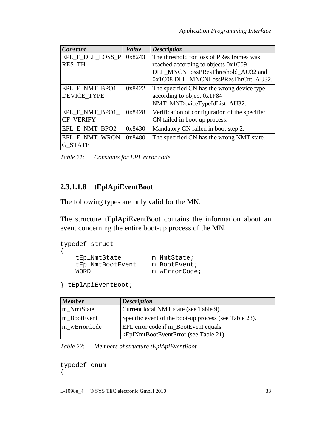| Constant                             | <b>Value</b> | <b>Description</b>                                                                                                                                            |
|--------------------------------------|--------------|---------------------------------------------------------------------------------------------------------------------------------------------------------------|
| EPL E DLL LOSS P<br><b>RES_TH</b>    | 0x8243       | The threshold for loss of PRes frames was<br>reached according to objects 0x1C09<br>DLL MNCNLossPResThreshold AU32 and<br>0x1C08 DLL MNCNLossPResThrCnt AU32. |
| EPL E NMT BPO1<br><b>DEVICE TYPE</b> | 0x8422       | The specified CN has the wrong device type<br>according to object 0x1F84<br>NMT_MNDeviceTypeIdList_AU32.                                                      |
| EPL_E_NMT_BPO1_<br><b>CF VERIFY</b>  | 0x8428       | Verification of configuration of the specified<br>CN failed in boot-up process.                                                                               |
| EPL E NMT BPO2                       | 0x8430       | Mandatory CN failed in boot step 2.                                                                                                                           |
| EPL E NMT WRON<br><b>G STATE</b>     | 0x8480       | The specified CN has the wrong NMT state.                                                                                                                     |

*Table 21: Constants for EPL error code* 

## **2.3.1.1.8 tEplApiEventBoot**

The following types are only valid for the MN.

The structure tEplApiEventBoot contains the information about an event concerning the entire boot-up process of the MN.

```
typedef struct 
{ 
tEplNmtState m_NmtState;
 tEplNmtBootEvent m_BootEvent; 
   WORD m_wErrorCode;
```

```
} tEplApiEventBoot;
```

| <b>Member</b> | <b>Description</b>                                    |
|---------------|-------------------------------------------------------|
| m NmtState    | Current local NMT state (see Table 9).                |
| m BootEvent   | Specific event of the boot-up process (see Table 23). |
| m wErrorCode  | <b>EPL</b> error code if m_BootEvent equals           |
|               | kEplNmtBootEventError (see Table 21).                 |

*Table 22: Members of structure tEplApiEventBoot* 

typedef enum {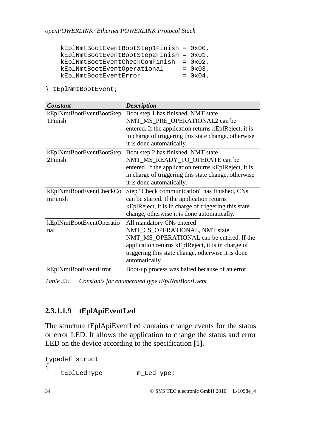| $kEplNmtBoostEventBoostEep1Finish = 0x00,$ |            |
|--------------------------------------------|------------|
| $kEplNmtBookEventBoostep2Finish = 0x01,$   |            |
| kEplNmtBootEventCheckComFinish             | $= 0x02$ , |
| kEplNmtBootEventOperational                | $= 0x03$ , |
| kEplNmtBootEventError                      | $= 0x04$ , |

} tEplNmtBootEvent;

| <b>Constant</b>          | <b>Description</b>                                    |
|--------------------------|-------------------------------------------------------|
| kEplNmtBootEventBootStep | Boot step 1 has finished, NMT state                   |
| 1Finish                  | NMT_MS_PRE_OPERATIONAL2 can be                        |
|                          | entered. If the application returns kEplReject, it is |
|                          | in charge of triggering this state change, otherwise  |
|                          | it is done automatically.                             |
| kEplNmtBootEventBootStep | Boot step 2 has finished, NMT state                   |
| 2Finish                  | NMT_MS_READY_TO_OPERATE can be                        |
|                          | entered. If the application returns kEplReject, it is |
|                          | in charge of triggering this state change, otherwise  |
|                          | it is done automatically.                             |
| kEplNmtBootEventCheckCo  | Step "Check communication" has finished, CNs          |
| mFinish                  | can be started. If the application returns            |
|                          | kEplReject, it is in charge of triggering this state  |
|                          | change, otherwise it is done automatically.           |
| kEplNmtBootEventOperatio | All mandatory CNs entered                             |
| nal                      | NMT_CS_OPERATIONAL, NMT state                         |
|                          | NMT_MS_OPERATIONAL can be entered. If the             |
|                          | application returns kEplReject, it is in charge of    |
|                          | triggering this state change, otherwise it is done    |
|                          | automatically.                                        |
| kEplNmtBootEventError    | Boot-up process was halted because of an error.       |

*Table 23: Constants for enumerated type tEplNmtBootEvent* 

## **2.3.1.1.9 tEplApiEventLed**

The structure tEplApiEventLed contains change events for the status or error LED. It allows the application to change the status and error LED on the device according to the specification [1].

```
typedef struct 
{ 
    tEplLedType m_LedType;
```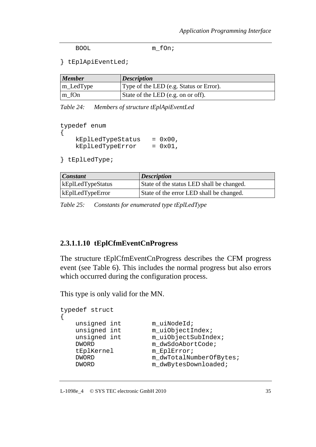BOOL m fon;

} tEplApiEventLed;

| <b>Member</b>    | <b>Description</b>                      |
|------------------|-----------------------------------------|
| m_LedType        | Type of the LED (e.g. Status or Error). |
| $\lfloor m_f$ Cn | State of the LED (e.g. on or off).      |

*Table 24: Members of structure tEplApiEventLed* 

```
typedef enum 
{ 
    kEplLedTypeStatus = 0x00, 
   kEp1LedTypeError = 0x01,
```
} tEplLedType;

| <b>Constant</b>          | <b>Description</b>                        |
|--------------------------|-------------------------------------------|
| <b>kEpILedTypeStatus</b> | State of the status LED shall be changed. |
| <b>kEpILedTypeError</b>  | State of the error LED shall be changed.  |

*Table 25: Constants for enumerated type tEplLedType*

#### **2.3.1.1.10 tEplCfmEventCnProgress**

The structure tEplCfmEventCnProgress describes the CFM progress event (see Table 6). This includes the normal progress but also errors which occurred during the configuration process.

This type is only valid for the MN.

```
typedef struct 
\{unsigned int m_uiNodeId;
  unsigned int m_uiObjectIndex;
  unsigned int m_uiObjectSubIndex;
  DWORD m_dwSdoAbortCode;
   tEplKernel m_EplError; 
  DWORD m_dwTotalNumberOfBytes;
  DWORD m_dwBytesDownloaded;
```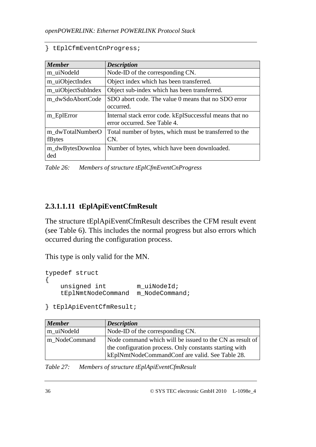} tEplCfmEventCnProgress;

| <b>Member</b>              | <b>Description</b>                                                                      |
|----------------------------|-----------------------------------------------------------------------------------------|
| m uiNodeId                 | Node-ID of the corresponding CN.                                                        |
| m_uiObjectIndex            | Object index which has been transferred.                                                |
| m_uiObjectSubIndex         | Object sub-index which has been transferred.                                            |
| m dwSdoAbortCode           | SDO abort code. The value 0 means that no SDO error<br>occurred.                        |
| m_EplError                 | Internal stack error code. kEplSuccessful means that no<br>error occurred. See Table 4. |
| m dwTotalNumberO<br>fBytes | Total number of bytes, which must be transferred to the<br>CN.                          |
| m_dwBytesDownloa<br>ded    | Number of bytes, which have been downloaded.                                            |

*Table 26: Members of structure tEplCfmEventCnProgress* 

## **2.3.1.1.11 tEplApiEventCfmResult**

The structure tEplApiEventCfmResult describes the CFM result event (see Table 6). This includes the normal progress but also errors which occurred during the configuration process.

This type is only valid for the MN.

```
typedef struct 
\left\{ \right.unsigned int m_uiNodeId;
     tEplNmtNodeCommand m_NodeCommand;
```
} tEplApiEventCfmResult;

| <b>Member</b> | <b>Description</b>                                                                                                                                                     |
|---------------|------------------------------------------------------------------------------------------------------------------------------------------------------------------------|
| m uiNodeId    | Node-ID of the corresponding CN.                                                                                                                                       |
| m NodeCommand | Node command which will be issued to the CN as result of<br>the configuration process. Only constants starting with<br>kEplNmtNodeCommandConf are valid. See Table 28. |

*Table 27: Members of structure tEplApiEventCfmResult*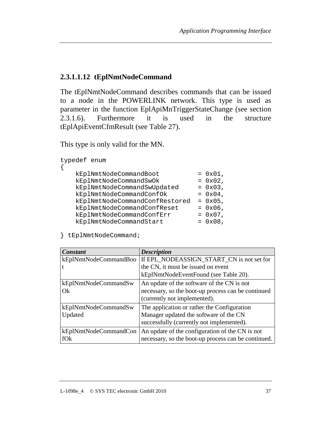# **2.3.1.1.12 tEplNmtNodeCommand**

The tEplNmtNodeCommand describes commands that can be issued to a node in the POWERLINK network. This type is used as parameter in the function EplApiMnTriggerStateChange (see section 2.3.1.6). Furthermore it is used in the structure tEplApiEventCfmResult (see Table 27).

This type is only valid for the MN.

typedef enum

{

| kEplNmtNodeCommandBoot         | $= 0x01$ , |
|--------------------------------|------------|
| kEplNmtNodeCommandSwOk         | $= 0x02,$  |
| kEplNmtNodeCommandSwUpdated    | $= 0x03$ , |
| kEplNmtNodeCommandConfOk       | $= 0x04$ , |
| kEplNmtNodeCommandConfRestored | $= 0x05$ , |
| kEplNmtNodeCommandConfReset    | $= 0x06$ , |
| kEplNmtNodeCommandConfErr      | $= 0x07$ , |
| kEplNmtNodeCommandStart        | $= 0x08$ , |
|                                |            |

} tEplNmtNodeCommand;

| <b>Constant</b>       | <b>Description</b>                                  |
|-----------------------|-----------------------------------------------------|
| kEplNmtNodeCommandBoo | If EPL_NODEASSIGN_START_CN is not set for           |
|                       | the CN, it must be issued on event                  |
|                       | kEplNmtNodeEventFound (see Table 20).               |
| kEplNmtNodeCommandSw  | An update of the software of the CN is not          |
| Ok                    | necessary, so the boot-up process can be continued  |
|                       | (currently not implemented).                        |
| kEplNmtNodeCommandSw  | The application or rather the Configuration         |
| Updated               | Manager updated the software of the CN              |
|                       | successfully (currently not implemented).           |
| kEplNmtNodeCommandCon | An update of the configuration of the CN is not     |
| fOk                   | necessary, so the boot-up process can be continued. |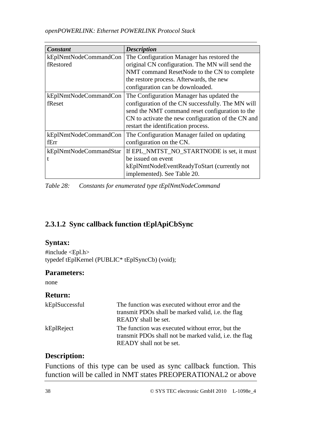| Constant               | <b>Description</b>                                 |
|------------------------|----------------------------------------------------|
| kEplNmtNodeCommandCon  | The Configuration Manager has restored the         |
| fRestored              | original CN configuration. The MN will send the    |
|                        | NMT command ResetNode to the CN to complete        |
|                        | the restore process. Afterwards, the new           |
|                        | configuration can be downloaded.                   |
| kEplNmtNodeCommandCon  | The Configuration Manager has updated the          |
| fReset                 | configuration of the CN successfully. The MN will  |
|                        | send the NMT command reset configuration to the    |
|                        | CN to activate the new configuration of the CN and |
|                        | restart the identification process.                |
| kEplNmtNodeCommandCon  | The Configuration Manager failed on updating       |
| fErr                   | configuration on the CN.                           |
| kEplNmtNodeCommandStar | If EPL_NMTST_NO_STARTNODE is set, it must          |
| t                      | be issued on event                                 |
|                        | kEplNmtNodeEventReadyToStart (currently not        |
|                        | implemented). See Table 20.                        |

*Table 28: Constants for enumerated type tEplNmtNodeCommand* 

## **2.3.1.2 Sync callback function tEplApiCbSync**

#### **Syntax:**

#include <Epl.h> typedef tEplKernel (PUBLIC\* tEplSyncCb) (void);

### **Parameters:**

none

### **Return:**

| kEplSuccessful | The function was executed without error and the<br>transmit PDOs shall be marked valid, i.e. the flag<br>READY shall be set.          |
|----------------|---------------------------------------------------------------------------------------------------------------------------------------|
| kEplReject     | The function was executed without error, but the<br>transmit PDOs shall not be marked valid, i.e. the flag<br>READY shall not be set. |

## **Description:**

Functions of this type can be used as sync callback function. This function will be called in NMT states PREOPERATIONAL2 or above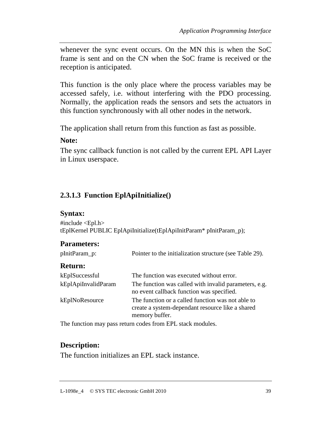whenever the sync event occurs. On the MN this is when the SoC frame is sent and on the CN when the SoC frame is received or the reception is anticipated.

This function is the only place where the process variables may be accessed safely, i.e. without interfering with the PDO processing. Normally, the application reads the sensors and sets the actuators in this function synchronously with all other nodes in the network.

The application shall return from this function as fast as possible.

#### **Note:**

The sync callback function is not called by the current EPL API Layer in Linux userspace.

## **2.3.1.3 Function EplApiInitialize()**

#### **Syntax:**

 $\#$ include  $\langle$ Epl.h $>$ tEplKernel PUBLIC EplApiInitialize(tEplApiInitParam\* pInitParam\_p);

### **Parameters:**

| pInitParam_p: | Pointer to the initialization structure (see Table 29). |
|---------------|---------------------------------------------------------|
|---------------|---------------------------------------------------------|

#### **Return:**

| kEplSuccessful      | The function was executed without error.                                                                                |
|---------------------|-------------------------------------------------------------------------------------------------------------------------|
| kEplApiInvalidParam | The function was called with invalid parameters, e.g.<br>no event callback function was specified.                      |
| kEplNoResource      | The function or a called function was not able to<br>create a system-dependant resource like a shared<br>memory buffer. |

The function may pass return codes from EPL stack modules.

### **Description:**

The function initializes an EPL stack instance.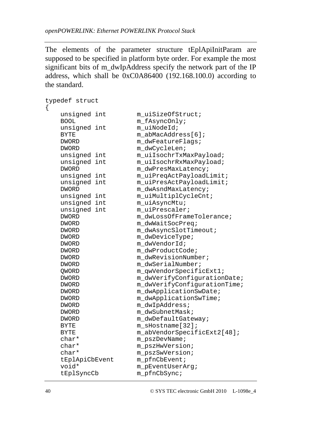The elements of the parameter structure tEplApiInitParam are supposed to be specified in platform byte order. For example the most significant bits of m\_dwIpAddress specify the network part of the IP address, which shall be 0xC0A86400 (192.168.100.0) according to the standard.

```
typedef struct 
{ 
  unsigned int muiSizeOfStruct;
  BOOL m_fAsyncOnly;
  unsigned int muiNodeId;
  BYTE mabMacAddress[6];
  DWORD m_dwFeatureFlags;
  DWORD m dwCycleLen;
  unsigned int m_uiIsochrTxMaxPayload;
  unsigned int m_uiIsochrRxMaxPayload;
  DWORD m_dwPresMaxLatency;
  unsigned int m_uiPreqActPayloadLimit;
  unsigned int m_uiPresActPayloadLimit;
  DWORD m_dwAsndMaxLatency;
  unsigned int muiMultiplCycleCnt;
  unsigned int m_uiAsyncMtu;
  unsigned int m_uiPrescaler;
  DWORD m_dwLossOfFrameTolerance;
  DWORD m_dwWaitSocPreq;
  DWORD m dwAsyncSlotTimeout;
  DWORD m dwDeviceType;
  DWORD m dwVendorId;
  DWORD m_dwProductCode;
  DWORD m dwRevisionNumber;
  DWORD m dwSerialNumber;
  OWORD m qwVendorSpecificExt1;
  DWORD m_dwVerifyConfigurationDate;
  DWORD m_dwVerifyConfigurationTime;
  DWORD m dwApplicationSwDate;
  DWORD m_dwApplicationSwTime;
  DWORD m dwIpAddress;
  DWORD m dwSubnetMask;
  DWORD m dwDefaultGateway;
  BYTE m_sHostname[32];
  BYTE m_abVendorSpecificExt2[48];
  char* m_pszDevName;
   char* m_pszHwVersion; 
  char* moszSwVersion;
   tEplApiCbEvent m_pfnCbEvent; 
  void* m_pEventUserArg;
   tEplSyncCb m_pfnCbSync;
```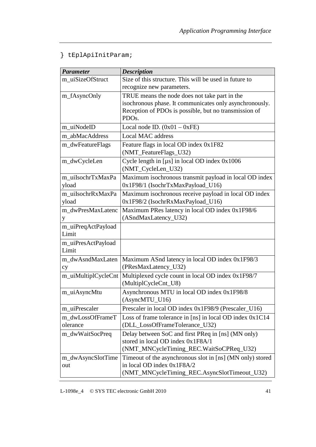} tEplApiInitParam;

| <b>Parameter</b>    | <b>Description</b>                                        |
|---------------------|-----------------------------------------------------------|
| m uiSizeOfStruct    | Size of this structure. This will be used in future to    |
|                     | recognize new parameters.                                 |
| m_fAsyncOnly        | TRUE means the node does not take part in the             |
|                     | isochronous phase. It communicates only asynchronously.   |
|                     | Reception of PDOs is possible, but no transmission of     |
|                     | PDO <sub>s</sub> .                                        |
| m uiNodeID          | Local node ID. $(0x01 - 0xFE)$                            |
| m abMacAddress      | <b>Local MAC address</b>                                  |
| m_dwFeatureFlags    | Feature flags in local OD index 0x1F82                    |
|                     | (NMT_FeatureFlags_U32)                                    |
| m_dwCycleLen        | Cycle length in [µs] in local OD index 0x1006             |
|                     | (NMT_CycleLen_U32)                                        |
| m uiIsochrTxMaxPa   | Maximum isochronous transmit payload in local OD index    |
| yload               | 0x1F98/1 (IsochrTxMaxPayload_U16)                         |
| m uiIsochrRxMaxPa   | Maximum isochronous receive payload in local OD index     |
| yload               | 0x1F98/2 (IsochrRxMaxPayload_U16)                         |
| m_dwPresMaxLatenc   | Maximum PRes latency in local OD index 0x1F98/6           |
| y                   | (ASndMaxLatency_U32)                                      |
| m_uiPreqActPayload  |                                                           |
| Limit               |                                                           |
| m_uiPresActPayload  |                                                           |
| Limit               |                                                           |
| m_dwAsndMaxLaten    | Maximum ASnd latency in local OD index 0x1F98/3           |
| cy                  | (PResMaxLatency_U32)                                      |
| m_uiMultiplCycleCnt | Multiplexed cycle count in local OD index 0x1F98/7        |
|                     | (MultiplCycleCnt_U8)                                      |
| m_uiAsyncMtu        | Asynchronous MTU in local OD index 0x1F98/8               |
|                     | (AsyncMTU_U16)                                            |
| m uiPrescaler       | Prescaler in local OD index 0x1F98/9 (Prescaler_U16)      |
| m_dwLossOfFrameT    | Loss of frame tolerance in [ns] in local OD index 0x1C14  |
| olerance            | (DLL_LossOfFrameTolerance_U32)                            |
| m_dwWaitSocPreq     | Delay between SoC and first PReq in [ns] (MN only)        |
|                     | stored in local OD index 0x1F8A/1                         |
|                     | (NMT_MNCycleTiming_REC.WaitSoCPReq_U32)                   |
| m_dwAsyncSlotTime   | Timeout of the asynchronous slot in [ns] (MN only) stored |
| out                 | in local OD index 0x1F8A/2                                |
|                     | (NMT_MNCycleTiming_REC.AsyncSlotTimeout_U32)              |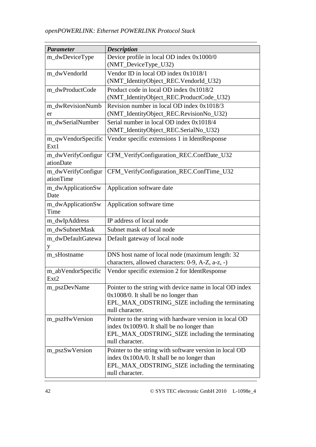| <b>Parameter</b>                       | <b>Description</b>                                                 |
|----------------------------------------|--------------------------------------------------------------------|
| m_dwDeviceType                         | Device profile in local OD index 0x1000/0                          |
|                                        | (NMT_DeviceType_U32)                                               |
| m_dwVendorId                           | Vendor ID in local OD index 0x1018/1                               |
|                                        | (NMT_IdentityObject_REC.VendorId_U32)                              |
| m dwProductCode                        | Product code in local OD index 0x1018/2                            |
|                                        | (NMT_IdentityObject_REC.ProductCode_U32)                           |
| m dwRevisionNumb                       | Revision number in local OD index 0x1018/3                         |
| er                                     | (NMT_IdentityObject_REC.RevisionNo_U32)                            |
| m_dwSerialNumber                       | Serial number in local OD index 0x1018/4                           |
|                                        | (NMT_IdentityObject_REC.SerialNo_U32)                              |
| m_qwVendorSpecific<br>Ext1             | Vendor specific extensions 1 in IdentResponse                      |
| m_dwVerifyConfigur<br>ationDate        | CFM_VerifyConfiguration_REC.ConfDate_U32                           |
| m_dwVerifyConfigur<br>ationTime        | CFM_VerifyConfiguration_REC.ConfTime_U32                           |
| m_dwApplicationSw<br>Date              | Application software date                                          |
| m_dwApplicationSw<br>Time              | Application software time                                          |
| m_dwIpAddress                          | IP address of local node                                           |
| m_dwSubnetMask                         | Subnet mask of local node                                          |
| m_dwDefaultGatewa                      | Default gateway of local node                                      |
| y                                      |                                                                    |
| m_sHostname                            | DNS host name of local node (maximum length: 32                    |
|                                        | characters, allowed characters: 0-9, A-Z, a-z, -)                  |
| m_abVendorSpecific<br>Ext <sub>2</sub> | Vendor specific extension 2 for IdentResponse                      |
| m_pszDevName                           | Pointer to the string with device name in local OD index           |
|                                        | $0x1008/0$ . It shall be no longer than                            |
|                                        | EPL_MAX_ODSTRING_SIZE including the terminating<br>null character. |
| m_pszHwVersion                         | Pointer to the string with hardware version in local OD            |
|                                        | index 0x1009/0. It shall be no longer than                         |
|                                        | EPL_MAX_ODSTRING_SIZE including the terminating                    |
|                                        | null character.                                                    |
| m_pszSwVersion                         | Pointer to the string with software version in local OD            |
|                                        | index 0x100A/0. It shall be no longer than                         |
|                                        | EPL_MAX_ODSTRING_SIZE including the terminating<br>null character. |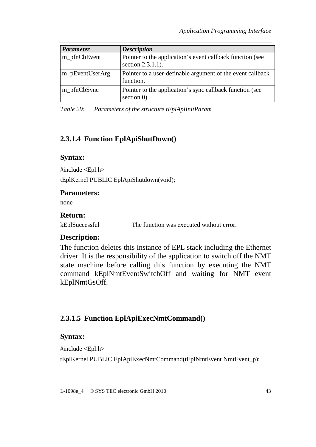| <b>Parameter</b> | <b>Description</b>                                                             |
|------------------|--------------------------------------------------------------------------------|
| m_pfnCbEvent     | Pointer to the application's event callback function (see<br>section 2.3.1.1). |
| m_pEventUserArg  | Pointer to a user-definable argument of the event callback<br>function.        |
| m_pfnCbSync      | Pointer to the application's sync callback function (see<br>section 0).        |

*Table 29: Parameters of the structure tEplApiInitParam* 

## **2.3.1.4 Function EplApiShutDown()**

#### **Syntax:**

#include <Epl.h>

tEplKernel PUBLIC EplApiShutdown(void);

#### **Parameters:**

none

#### **Return:**

kEplSuccessful The function was executed without error.

### **Description:**

The function deletes this instance of EPL stack including the Ethernet driver. It is the responsibility of the application to switch off the NMT state machine before calling this function by executing the NMT command kEplNmtEventSwitchOff and waiting for NMT event kEplNmtGsOff.

## **2.3.1.5 Function EplApiExecNmtCommand()**

### **Syntax:**

#include <Epl.h>

tEplKernel PUBLIC EplApiExecNmtCommand(tEplNmtEvent NmtEvent\_p);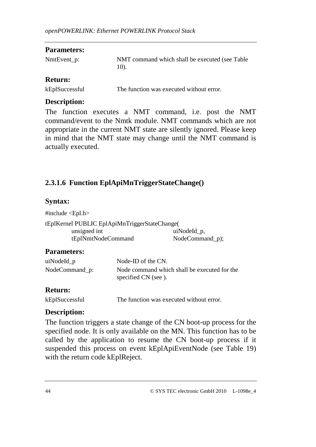#### **Parameters:**

| NmtEvent_p: | NMT command which shall be executed (see Table |
|-------------|------------------------------------------------|
|             | 10).                                           |

### **Return:**

| kEplSuccessful | The function was executed without error. |
|----------------|------------------------------------------|
|                |                                          |

### **Description:**

The function executes a NMT command, i.e. post the NMT command/event to the Nmtk module. NMT commands which are not appropriate in the current NMT state are silently ignored. Please keep in mind that the NMT state may change until the NMT command is actually executed.

## **2.3.1.6 Function EplApiMnTriggerStateChange()**

## **Syntax:**

#include <Epl.h> tEplKernel PUBLIC EplApiMnTriggerStateChange( unsigned int uiNodeId p, tEplNmtNodeCommand NodeCommand\_p);

## **Parameters:**

| uiNodeId_p     | Node-ID of the CN.                           |
|----------------|----------------------------------------------|
| NodeCommand_p: | Node command which shall be executed for the |
|                | specified CN (see).                          |

## **Return:**

## **Description:**

The function triggers a state change of the CN boot-up process for the specified node. It is only available on the MN. This function has to be called by the application to resume the CN boot-up process if it suspended this process on event kEplApiEventNode (see Table 19) with the return code kEplReject.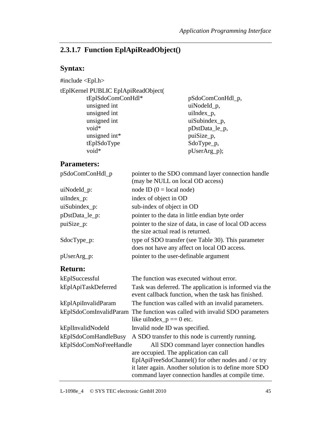# **2.3.1.7 Function EplApiReadObject()**

# **Syntax:**

#include <Epl.h>

| tEplKernel PUBLIC EplApiReadObject( |                  |
|-------------------------------------|------------------|
| tEplSdoComConHdl*                   | pSdoComConHdl_p, |
| unsigned int                        | uiNodeId_p,      |
| unsigned int                        | uiIndex_p,       |
| unsigned int                        | uiSubindex_p,    |
| void*                               | pDstData_le_p,   |
| unsigned int*                       | puiSize_p,       |
| tEplSdoType                         | SdoType_p,       |
| void*                               | pUserArg_p);     |

## **Parameters:**

| pSdoComConHdl_p        | pointer to the SDO command layer connection handle<br>(may be NULL on local OD access)                         |
|------------------------|----------------------------------------------------------------------------------------------------------------|
| uiNodeId_p:            | node ID $(0 = local node)$                                                                                     |
| uiIndex_p:             | index of object in OD                                                                                          |
| uiSubindex_p:          | sub-index of object in OD                                                                                      |
| pDstData_le_p:         | pointer to the data in little endian byte order                                                                |
| puiSize_p:             | pointer to the size of data, in case of local OD access<br>the size actual read is returned.                   |
| $SdocType_p$ :         | type of SDO transfer (see Table 30). This parameter<br>does not have any affect on local OD access.            |
| pUserArg_p:            | pointer to the user-definable argument                                                                         |
| <b>Return:</b>         |                                                                                                                |
| kEplSuccessful         | The function was executed without error.                                                                       |
| kEplApiTaskDeferred    | Task was deferred. The application is informed via the<br>event callback function, when the task has finished. |
| kEplApiInvalidParam    | The function was called with an invalid parameters.                                                            |
|                        | kEplSdoComInvalidParam The function was called with invalid SDO parameters<br>like uiIndex_ $p == 0$ etc.      |
| kEplInvalidNodeId      | Invalid node ID was specified.                                                                                 |
| kEplSdoComHandleBusy   | A SDO transfer to this node is currently running.                                                              |
| kEplSdoComNoFreeHandle | All SDO command layer connection handles<br>are occupied. The application can call                             |
|                        | EplApiFreeSdoChannel() for other nodes and / or try                                                            |
|                        | it later again. Another solution is to define more SDO                                                         |

command layer connection handles at compile time.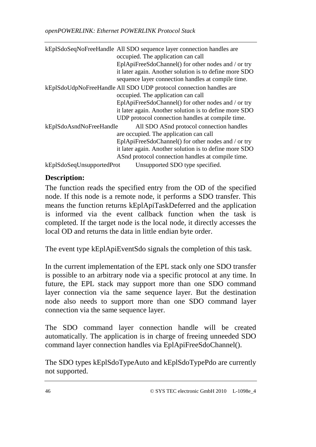|                           | kEplSdoSeqNoFreeHandle All SDO sequence layer connection handles are |
|---------------------------|----------------------------------------------------------------------|
|                           | occupied. The application can call                                   |
|                           | EplApiFreeSdoChannel() for other nodes and / or try                  |
|                           | it later again. Another solution is to define more SDO               |
|                           | sequence layer connection handles at compile time.                   |
|                           | kEplSdoUdpNoFreeHandle All SDO UDP protocol connection handles are   |
|                           | occupied. The application can call                                   |
|                           | EplApiFreeSdoChannel() for other nodes and / or try                  |
|                           | it later again. Another solution is to define more SDO               |
|                           | UDP protocol connection handles at compile time.                     |
| kEplSdoAsndNoFreeHandle   | All SDO ASnd protocol connection handles                             |
|                           | are occupied. The application can call                               |
|                           | EplApiFreeSdoChannel() for other nodes and / or try                  |
|                           | it later again. Another solution is to define more SDO               |
|                           | ASnd protocol connection handles at compile time.                    |
| kEplSdoSeqUnsupportedProt | Unsupported SDO type specified.                                      |

## **Description:**

The function reads the specified entry from the OD of the specified node. If this node is a remote node, it performs a SDO transfer. This means the function returns kEplApiTaskDeferred and the application is informed via the event callback function when the task is completed. If the target node is the local node, it directly accesses the local OD and returns the data in little endian byte order.

The event type kEplApiEventSdo signals the completion of this task.

In the current implementation of the EPL stack only one SDO transfer is possible to an arbitrary node via a specific protocol at any time. In future, the EPL stack may support more than one SDO command layer connection via the same sequence layer. But the destination node also needs to support more than one SDO command layer connection via the same sequence layer.

The SDO command layer connection handle will be created automatically. The application is in charge of freeing unneeded SDO command layer connection handles via EplApiFreeSdoChannel().

The SDO types kEplSdoTypeAuto and kEplSdoTypePdo are currently not supported.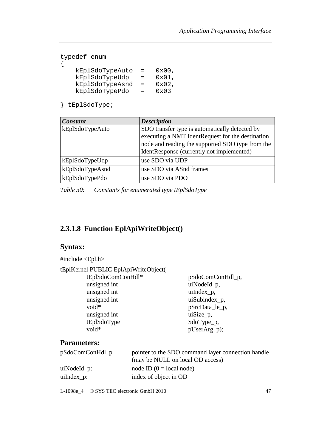```
typedef enum 
{ 
    kEplSdoTypeAuto = 0x00, 
    kEplSdoTypeUdp = 0x01, 
    kEplSdoTypeAsnd = 0x02, 
    kEplSdoTypePdo = 0x03
```
} tEplSdoType;

| <b>Constant</b> | <b>Description</b>                               |
|-----------------|--------------------------------------------------|
| kEplSdoTypeAuto | SDO transfer type is automatically detected by   |
|                 | executing a NMT IdentRequest for the destination |
|                 | node and reading the supported SDO type from the |
|                 | IdentResponse (currently not implemented)        |
| kEplSdoTypeUdp  | use SDO via UDP                                  |
| kEplSdoTypeAsnd | use SDO via ASnd frames                          |
| kEplSdoTypePdo  | use SDO via PDO                                  |

*Table 30: Constants for enumerated type tEplSdoType*

### **2.3.1.8 Function EplApiWriteObject()**

### **Syntax:**

| #include $\langle$ Epl.h $>$         |                           |
|--------------------------------------|---------------------------|
| tEplKernel PUBLIC EplApiWriteObject( |                           |
| tEplSdoComConHdl*                    | pSdoComConHdl_p,          |
| unsigned int                         | uiNodeId_p,               |
| unsigned int                         | $u$ iIndex <sub>p</sub> , |
| unsigned int                         | uiSubindex_p,             |
| $void*$                              | pSrcData_le_p,            |
| unsigned int                         | $uiSize_p$ ,              |
| tEplSdoType                          | SdoType_p,                |
| void*                                | pUserArg_p);              |
|                                      |                           |

## **Parameters:**

| $pSdoComConHdl_p$ | pointer to the SDO command layer connection handle |
|-------------------|----------------------------------------------------|
|                   | (may be NULL on local OD access)                   |
| $uiNodeId_p$ :    | node ID $(0 = local node)$                         |
| $u$ iIndex_p:     | index of object in OD                              |

L-1098e\_4 © SYS TEC electronic GmbH 2010 47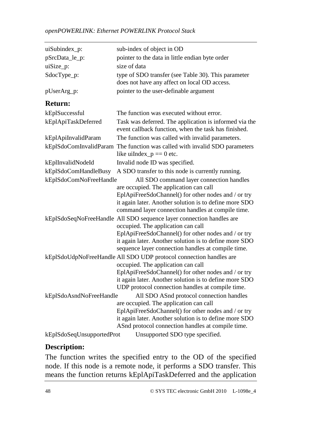| uiSubindex_p:             | sub-index of object in OD                                                                                      |  |
|---------------------------|----------------------------------------------------------------------------------------------------------------|--|
| pSrcData_le_p:            | pointer to the data in little endian byte order                                                                |  |
| $uiSize_p$ :              | size of data                                                                                                   |  |
| SdocType_p:               | type of SDO transfer (see Table 30). This parameter<br>does not have any affect on local OD access.            |  |
| pUserArg_p:               | pointer to the user-definable argument                                                                         |  |
| <b>Return:</b>            |                                                                                                                |  |
| kEplSuccessful            | The function was executed without error.                                                                       |  |
| kEplApiTaskDeferred       | Task was deferred. The application is informed via the<br>event callback function, when the task has finished. |  |
| kEplApiInvalidParam       | The function was called with invalid parameters.                                                               |  |
|                           | kEplSdoComInvalidParam The function was called with invalid SDO parameters<br>like uiIndex_ $p == 0$ etc.      |  |
| kEplInvalidNodeId         | Invalid node ID was specified.                                                                                 |  |
| kEplSdoComHandleBusy      | A SDO transfer to this node is currently running.                                                              |  |
| kEplSdoComNoFreeHandle    | All SDO command layer connection handles                                                                       |  |
|                           | are occupied. The application can call                                                                         |  |
|                           | EplApiFreeSdoChannel() for other nodes and / or try                                                            |  |
|                           | it again later. Another solution is to define more SDO                                                         |  |
|                           | command layer connection handles at compile time.                                                              |  |
|                           | kEplSdoSeqNoFreeHandle All SDO sequence layer connection handles are<br>occupied. The application can call     |  |
|                           | EplApiFreeSdoChannel() for other nodes and / or try                                                            |  |
|                           | it again later. Another solution is to define more SDO                                                         |  |
|                           | sequence layer connection handles at compile time.                                                             |  |
|                           | kEplSdoUdpNoFreeHandle All SDO UDP protocol connection handles are                                             |  |
|                           | occupied. The application can call                                                                             |  |
|                           | EplApiFreeSdoChannel() for other nodes and / or try                                                            |  |
|                           | it again later. Another solution is to define more SDO                                                         |  |
|                           | UDP protocol connection handles at compile time.                                                               |  |
| kEplSdoAsndNoFreeHandle   | All SDO ASnd protocol connection handles                                                                       |  |
|                           | are occupied. The application can call<br>EplApiFreeSdoChannel() for other nodes and / or try                  |  |
|                           | it again later. Another solution is to define more SDO                                                         |  |
|                           | ASnd protocol connection handles at compile time.                                                              |  |
| kEplSdoSeqUnsupportedProt | Unsupported SDO type specified.                                                                                |  |

### **Description:**

The function writes the specified entry to the OD of the specified node. If this node is a remote node, it performs a SDO transfer. This means the function returns kEplApiTaskDeferred and the application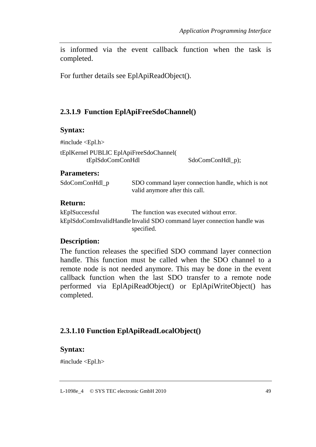is informed via the event callback function when the task is completed.

For further details see EplApiReadObject().

## **2.3.1.9 Function EplApiFreeSdoChannel()**

#### **Syntax:**

#include <Epl.h> tEplKernel PUBLIC EplApiFreeSdoChannel( tEplSdoComConHdl SdoComConHdl p);

#### **Parameters:**

| SdoComConHdl_p | SDO command layer connection handle, which is not |
|----------------|---------------------------------------------------|
|                | valid anymore after this call.                    |

#### **Return:**

kEplSuccessful The function was executed without error. kEplSdoComInvalidHandle Invalid SDO command layer connection handle was specified.

#### **Description:**

The function releases the specified SDO command layer connection handle. This function must be called when the SDO channel to a remote node is not needed anymore. This may be done in the event callback function when the last SDO transfer to a remote node performed via EplApiReadObject() or EplApiWriteObject() has completed.

## **2.3.1.10 Function EplApiReadLocalObject()**

#### **Syntax:**

#include <Epl.h>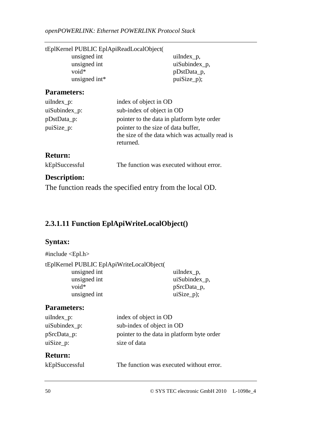| tEplKernel PUBLIC EplApiReadLocalObject( |               |
|------------------------------------------|---------------|
| unsigned int                             | $u$ iIndex_p, |
| unsigned int                             | uiSubindex_p, |
| $void*$                                  | pDstData_p,   |
| unsigned int*                            | $puiSize_p$ ; |
|                                          |               |

## **Parameters:**

| $u$ iIndex_ $p$ : | index of object in OD                                                                               |
|-------------------|-----------------------------------------------------------------------------------------------------|
| uiSubindex_p:     | sub-index of object in OD                                                                           |
| pDstData_p:       | pointer to the data in platform byte order                                                          |
| puiSize_p:        | pointer to the size of data buffer,<br>the size of the data which was actually read is<br>returned. |
| <b>Return:</b>    |                                                                                                     |

### kEplSuccessful The function was executed without error.

#### **Description:**

The function reads the specified entry from the local OD.

## **2.3.1.11 Function EplApiWriteLocalObject()**

#### **Syntax:**

| #include $\langle$ Epl.h $>$              |                  |
|-------------------------------------------|------------------|
| tEplKernel PUBLIC EplApiWriteLocalObject( |                  |
| unsigned int                              | $u$ iIndex $p$ , |
| unsigned int                              | uiSubindex_p,    |
| $void*$                                   | pSrcData_p,      |
| unsigned int                              | $uiSize_p$ ;     |
|                                           |                  |

#### **Parameters:**

| $u$ iIndex_p:   | index of object in OD                      |
|-----------------|--------------------------------------------|
| $uiSubindex_p:$ | sub-index of object in OD                  |
| pSrcData_p:     | pointer to the data in platform byte order |
| $uisize_p:$     | size of data                               |
|                 |                                            |

### **Return:**

| kEplSuccessful |  |
|----------------|--|
|----------------|--|

The function was executed without error.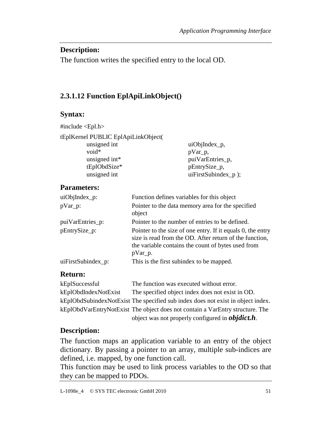#### **Description:**

The function writes the specified entry to the local OD.

## **2.3.1.12 Function EplApiLinkObject()**

### **Syntax:**

#include <Epl.h>

| tEplKernel PUBLIC EplApiLinkObject( |                        |
|-------------------------------------|------------------------|
| unsigned int                        | $uiObjIndex_p,$        |
| $void*$                             | pVar_p,                |
| unsigned int*                       | puiVarEntries_p,       |
| tEplObdSize*                        | pEntrySize_p,          |
| unsigned int                        | $uiFirstSubindex_p$ ); |

#### **Parameters:**

| $uiObjIndex_p:$    | Function defines variables for this object                                                                                                                                                 |  |  |
|--------------------|--------------------------------------------------------------------------------------------------------------------------------------------------------------------------------------------|--|--|
| $pVar_p$ :         | Pointer to the data memory area for the specified<br>object                                                                                                                                |  |  |
| puiVarEntries_p:   | Pointer to the number of entries to be defined.                                                                                                                                            |  |  |
| pEntrySize_p:      | Pointer to the size of one entry. If it equals 0, the entry<br>size is read from the OD. After return of the function,<br>the variable contains the count of bytes used from<br>$pVar_p$ . |  |  |
| uiFirstSubindex_p: | This is the first subindex to be mapped.                                                                                                                                                   |  |  |

### **Return:**

| kEplSuccessful       | The function was executed without error.                                        |
|----------------------|---------------------------------------------------------------------------------|
| kEplObdIndexNotExist | The specified object index does not exist in OD.                                |
|                      | kEplObdSubindexNotExist The specified sub index does not exist in object index. |
|                      | kEplObdVarEntryNotExist The object does not contain a VarEntry structure. The   |
|                      | object was not properly configured in <i>objdict.h.</i>                         |

### **Description:**

The function maps an application variable to an entry of the object dictionary. By passing a pointer to an array, multiple sub-indices are defined, i.e. mapped, by one function call.

This function may be used to link process variables to the OD so that they can be mapped to PDOs.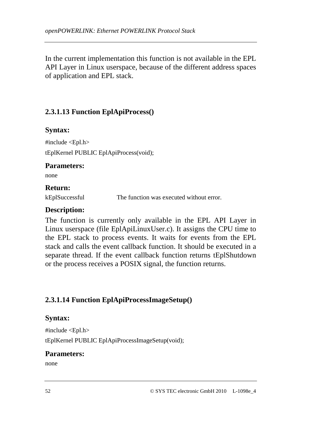In the current implementation this function is not available in the EPL API Layer in Linux userspace, because of the different address spaces of application and EPL stack.

## **2.3.1.13 Function EplApiProcess()**

### **Syntax:**

#include <Epl.h> tEplKernel PUBLIC EplApiProcess(void);

### **Parameters:**

none

#### **Return:**

kEplSuccessful The function was executed without error.

### **Description:**

The function is currently only available in the EPL API Layer in Linux userspace (file EplApiLinuxUser.c). It assigns the CPU time to the EPL stack to process events. It waits for events from the EPL stack and calls the event callback function. It should be executed in a separate thread. If the event callback function returns tEplShutdown or the process receives a POSIX signal, the function returns.

## **2.3.1.14 Function EplApiProcessImageSetup()**

### **Syntax:**

#include  $\le$ Epl.h> tEplKernel PUBLIC EplApiProcessImageSetup(void);

### **Parameters:**

none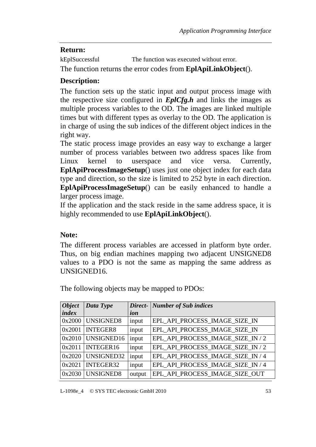#### **Return:**

kEplSuccessful The function was executed without error.

The function returns the error codes from **EplApiLinkObject**().

## **Description:**

The function sets up the static input and output process image with the respective size configured in *EplCfg.h* and links the images as multiple process variables to the OD. The images are linked multiple times but with different types as overlay to the OD. The application is in charge of using the sub indices of the different object indices in the right way.

The static process image provides an easy way to exchange a larger number of process variables between two address spaces like from Linux kernel to userspace and vice versa. Currently, **EplApiProcessImageSetup**() uses just one object index for each data type and direction, so the size is limited to 252 byte in each direction. **EplApiProcessImageSetup**() can be easily enhanced to handle a larger process image.

If the application and the stack reside in the same address space, it is highly recommended to use **EplApiLinkObject**().

### **Note:**

The different process variables are accessed in platform byte order. Thus, on big endian machines mapping two adjacent UNSIGNED8 values to a PDO is not the same as mapping the same address as UNSIGNED16.

| <b>Object</b> | Data Type       | Direct- | <b>Number of Sub indices</b>      |
|---------------|-----------------|---------|-----------------------------------|
| <i>index</i>  |                 | ion     |                                   |
| 0x2000        | UNSIGNED8       | input   | EPL_API_PROCESS_IMAGE_SIZE_IN     |
| 0x2001        | <b>INTEGER8</b> | input   | EPL_API_PROCESS_IMAGE_SIZE_IN     |
| 0x2010        | UNSIGNED16      | input   | EPL_API_PROCESS_IMAGE_SIZE_IN / 2 |
| 0x2011        | INTEGER16       | input   | EPL_API_PROCESS_IMAGE_SIZE_IN / 2 |
| 0x2020        | UNSIGNED32      | input   | EPL_API_PROCESS_IMAGE_SIZE_IN / 4 |
| 0x2021        | INTEGER32       | input   | EPL_API_PROCESS_IMAGE_SIZE_IN / 4 |
| 0x2030        | UNSIGNED8       | output  | EPL_API_PROCESS_IMAGE_SIZE_OUT    |

The following objects may be mapped to PDOs: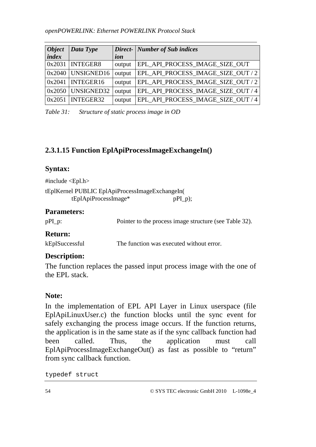| <b>Object</b> | Data Type           |        | Direct- Number of Sub indices      |
|---------------|---------------------|--------|------------------------------------|
| <i>index</i>  |                     | ion    |                                    |
| 0x2031        | <b>INTEGER8</b>     | output | EPL_API_PROCESS_IMAGE_SIZE_OUT     |
|               | $0x2040$ UNSIGNED16 | output | EPL_API_PROCESS_IMAGE_SIZE_OUT / 2 |
| 0x2041        | INTEGER16           | output | EPL_API_PROCESS_IMAGE_SIZE_OUT / 2 |
|               | $0x2050$ UNSIGNED32 | output | EPL_API_PROCESS_IMAGE_SIZE_OUT / 4 |
| 0x2051        | INTEGER32           | output | EPL_API_PROCESS_IMAGE_SIZE_OUT / 4 |

*Table 31: Structure of static process image in OD* 

## **2.3.1.15 Function EplApiProcessImageExchangeIn()**

#### **Syntax:**

#include <Epl.h> tEplKernel PUBLIC EplApiProcessImageExchangeIn(  $tEp1ApiProcessImage*$  pPI\_p);

#### **Parameters:**

pPI p: Pointer to the process image structure (see Table 32).

### **Return:**

kEplSuccessful The function was executed without error.

## **Description:**

The function replaces the passed input process image with the one of the EPL stack.

## **Note:**

In the implementation of EPL API Layer in Linux userspace (file EplApiLinuxUser.c) the function blocks until the sync event for safely exchanging the process image occurs. If the function returns, the application is in the same state as if the sync callback function had been called. Thus, the application must call EplApiProcessImageExchangeOut() as fast as possible to "return" from sync callback function.

typedef struct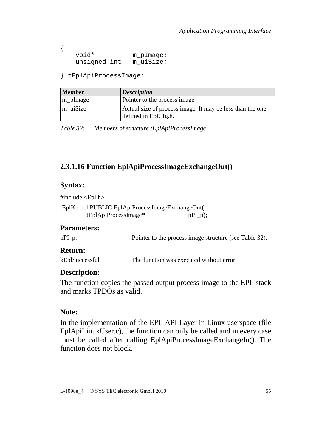void\* m\_pImage;<br>unsiqned int m uiSize; unsigned int

} tEplApiProcessImage;

| <b>Member</b> | <b>Description</b>                                                                |
|---------------|-----------------------------------------------------------------------------------|
| m_pImage      | Pointer to the process image                                                      |
| m uiSize      | Actual size of process image. It may be less than the one<br>defined in EplCfg.h. |

*Table 32: Members of structure tEplApiProcessImage* 

## **2.3.1.16 Function EplApiProcessImageExchangeOut()**

#### **Syntax:**

{

#include <Epl.h>

tEplKernel PUBLIC EplApiProcessImageExchangeOut(  $tEp1ApiProcessImage*$  pPI\_p);

#### **Parameters:**

pPI p: Pointer to the process image structure (see Table 32).

#### **Return:**

kEplSuccessful The function was executed without error.

#### **Description:**

The function copies the passed output process image to the EPL stack and marks TPDOs as valid.

#### **Note:**

In the implementation of the EPL API Layer in Linux userspace (file EplApiLinuxUser.c), the function can only be called and in every case must be called after calling EplApiProcessImageExchangeIn(). The function does not block.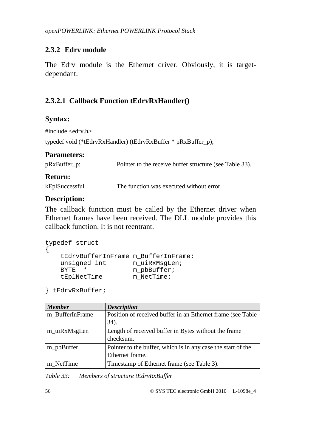### **2.3.2 Edrv module**

The Edrv module is the Ethernet driver. Obviously, it is targetdependant.

## **2.3.2.1 Callback Function tEdrvRxHandler()**

#### **Syntax:**

#include <edrv.h>

```
typedef void (*tEdrvRxHandler) (tEdrvRxBuffer * pRxBuffer_p);
```
#### **Parameters:**

| pRxBuffer_p:   | Pointer to the receive buffer structure (see Table 33). |
|----------------|---------------------------------------------------------|
| <b>Return:</b> |                                                         |

kEplSuccessful The function was executed without error.

### **Description:**

The callback function must be called by the Ethernet driver when Ethernet frames have been received. The DLL module provides this callback function. It is not reentrant.

```
typedef struct 
{ 
    tEdrvBufferInFrame m_BufferInFrame; 
   unsigned int m_uiRxMsgLen;
   BYTE * m_pbBuffer;
   tEplNetTime m NetTime;
```

```
} tEdrvRxBuffer;
```

| <b>Member</b>   | <b>Description</b>                                                              |
|-----------------|---------------------------------------------------------------------------------|
| m BufferInFrame | Position of received buffer in an Ethernet frame (see Table<br>34).             |
|                 |                                                                                 |
| m_uiRxMsgLen    | Length of received buffer in Bytes without the frame<br>checksum.               |
| m_pbBuffer      | Pointer to the buffer, which is in any case the start of the<br>Ethernet frame. |
| m NetTime       | Timestamp of Ethernet frame (see Table 3).                                      |

*Table 33: Members of structure tEdrvRxBuffer*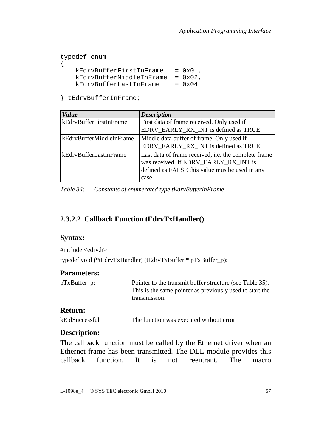```
typedef enum 
{ 
   kEdrvBufferFirstInFrame = 0x01, kEdrvBufferMiddleInFrame = 0x02, 
    kEdrvBufferLastInFrame = 0x04
```
} tEdrvBufferInFrame;

| <b>Value</b>             | <b>Description</b>                                                                                                                              |
|--------------------------|-------------------------------------------------------------------------------------------------------------------------------------------------|
| kEdrvBufferFirstInFrame  | First data of frame received. Only used if                                                                                                      |
|                          | EDRV_EARLY_RX_INT is defined as TRUE                                                                                                            |
| kEdryBufferMiddleInFrame | Middle data buffer of frame. Only used if                                                                                                       |
|                          | EDRV_EARLY_RX_INT is defined as TRUE                                                                                                            |
| kEdrvBufferLastInFrame   | Last data of frame received, i.e. the complete frame<br>was received. If EDRV_EARLY_RX_INT is<br>defined as FALSE this value mus be used in any |
|                          | case.                                                                                                                                           |

*Table 34: Constants of enumerated type tEdrvBufferInFrame* 

## **2.3.2.2 Callback Function tEdrvTxHandler()**

#### **Syntax:**

#include <edrv.h>

typedef void (\*tEdrvTxHandler) (tEdrvTxBuffer \* pTxBuffer\_p);

#### **Parameters:**

| pTxBuffer_p: | Pointer to the transmit buffer structure (see Table 35). |
|--------------|----------------------------------------------------------|
|              | This is the same pointer as previously used to start the |
|              | transmission.                                            |

#### **Return:**

```
kEplSuccessful The function was executed without error.
```
#### **Description:**

The callback function must be called by the Ethernet driver when an Ethernet frame has been transmitted. The DLL module provides this callback function. It is not reentrant. The macro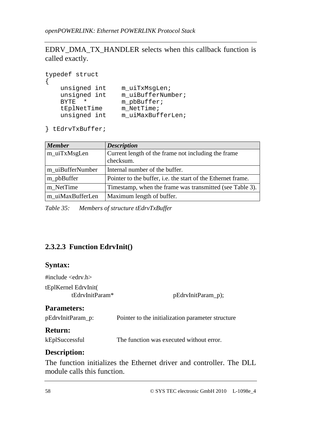EDRV\_DMA\_TX\_HANDLER selects when this callback function is called exactly.

| typedef struct                                                                         |                                                                                          |
|----------------------------------------------------------------------------------------|------------------------------------------------------------------------------------------|
| unsigned int<br>unsigned int<br><b>BYTE</b><br>$^\star$<br>tEplNetTime<br>unsigned int | m uiTxMsqLen;<br>m uiBufferNumber;<br>$m$ pbBuffer;<br>$m$ NetTime;<br>m uiMaxBufferLen; |

} tEdrvTxBuffer;

| <b>Member</b>    | <b>Description</b>                                           |
|------------------|--------------------------------------------------------------|
| m_uiTxMsgLen     | Current length of the frame not including the frame          |
|                  | checksum.                                                    |
| m uiBufferNumber | Internal number of the buffer.                               |
| m_pbBuffer       | Pointer to the buffer, i.e. the start of the Ethernet frame. |
| m NetTime        | Timestamp, when the frame was transmitted (see Table 3).     |
| m uiMaxBufferLen | Maximum length of buffer.                                    |

*Table 35: Members of structure tEdrvTxBuffer* 

## **2.3.2.3 Function EdrvInit()**

### **Syntax:**

#include <edrv.h> tEplKernel EdrvInit( pEdrvInitParam\_p); **Parameters:**  pEdrvInitParam\_p: Pointer to the initialization parameter structure **Return:**  kEplSuccessful The function was executed without error.

### **Description:**

The function initializes the Ethernet driver and controller. The DLL module calls this function.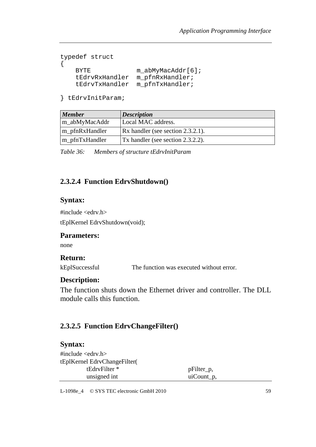```
typedef struct 
{ 
   BYTE m abMyMacAddr[6];
    tEdrvRxHandler m_pfnRxHandler; 
    tEdrvTxHandler m_pfnTxHandler;
```
} tEdrvInitParam;

| <b>Member</b>  | <b>Description</b>                        |
|----------------|-------------------------------------------|
| m_abMyMacAddr  | Local MAC address.                        |
| m_pfnRxHandler | $\vert$ Rx handler (see section 2.3.2.1). |
| m_pfnTxHandler | Tx handler (see section 2.3.2.2).         |

*Table 36: Members of structure tEdrvInitParam* 

### **2.3.2.4 Function EdrvShutdown()**

#### **Syntax:**

#include <edrv.h>

tEplKernel EdrvShutdown(void);

#### **Parameters:**

none

#### **Return:**

kEplSuccessful The function was executed without error.

#### **Description:**

The function shuts down the Ethernet driver and controller. The DLL module calls this function.

## **2.3.2.5 Function EdrvChangeFilter()**

#### **Syntax:**

#include <edrv.h> tEplKernel EdrvChangeFilter( tEdryFilter \* pFilter p, unsigned int uiCount\_p,

L-1098e\_4 © SYS TEC electronic GmbH 2010 59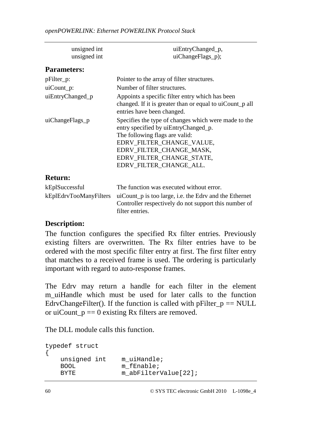| unsigned int<br>unsigned int | uiEntryChanged_p,<br>uiChangeFlags_p);                                                                                                                                                                                                          |  |
|------------------------------|-------------------------------------------------------------------------------------------------------------------------------------------------------------------------------------------------------------------------------------------------|--|
| <b>Parameters:</b>           |                                                                                                                                                                                                                                                 |  |
| pFilter_p:                   | Pointer to the array of filter structures.                                                                                                                                                                                                      |  |
| $uiCount_p$ :                | Number of filter structures.                                                                                                                                                                                                                    |  |
| uiEntryChanged_p             | Appoints a specific filter entry which has been<br>changed. If it is greater than or equal to uiCount p all<br>entries have been changed.                                                                                                       |  |
| uiChangeFlags_p              | Specifies the type of changes which were made to the<br>entry specified by uiEntryChanged_p.<br>The following flags are valid:<br>EDRV_FILTER_CHANGE_VALUE,<br>EDRV FILTER CHANGE MASK,<br>EDRV_FILTER_CHANGE_STATE,<br>EDRV_FILTER_CHANGE_ALL. |  |
| <b>Return:</b>               |                                                                                                                                                                                                                                                 |  |
| kEplSuccessful               | The function was executed without error.                                                                                                                                                                                                        |  |
| kEplEdrvTooManyFilters       | uiCount_p is too large, i.e. the Edry and the Ethernet<br>Controller respectively do not support this number of<br>filter entries.                                                                                                              |  |

#### **Description:**

The function configures the specified Rx filter entries. Previously existing filters are overwritten. The Rx filter entries have to be ordered with the most specific filter entry at first. The first filter entry that matches to a received frame is used. The ordering is particularly important with regard to auto-response frames.

The Edrv may return a handle for each filter in the element m\_uiHandle which must be used for later calls to the function EdrvChangeFilter(). If the function is called with  $p$ Filter  $p = NULL$ or uiCount  $p == 0$  existing Rx filters are removed.

The DLL module calls this function.

```
typedef struct 
{ 
   unsigned int m_uiHandle;
   BOOL m fEnable;
   BYTE m abFilterValue[22];
```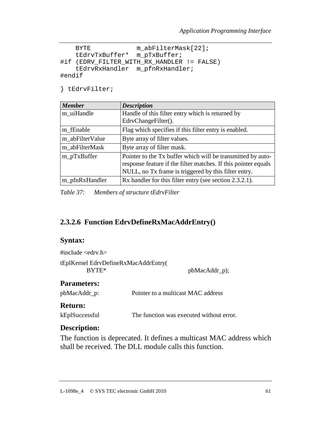```
BYTE m abFilterMask[22];
    tEdrvTxBuffer* m_pTxBuffer; 
#if (EDRV FILTER WITH RX HANDLER != FALSE)
    tEdrvRxHandler m_pfnRxHandler; 
#endif
```
} tEdrvFilter;

| <b>Member</b>   | <b>Description</b>                                             |
|-----------------|----------------------------------------------------------------|
| m_uiHandle      | Handle of this filter entry which is returned by               |
|                 | EdryChangeFilter().                                            |
| m fEnable       | Flag which specifies if this filter entry is enabled.          |
| m abFilterValue | Byte array of filter values.                                   |
| m abFilterMask  | Byte array of filter mask.                                     |
| m_pTxBuffer     | Pointer to the Tx buffer which will be transmitted by auto-    |
|                 | response feature if the filter matches. If this pointer equals |
|                 | NULL, no Tx frame is triggered by this filter entry.           |
| m_pfnRxHandler  | Rx handler for this filter entry (see section 2.3.2.1).        |

*Table 37: Members of structure tEdrvFilter* 

### **2.3.2.6 Function EdrvDefineRxMacAddrEntry()**

#### **Syntax:**

| #include $\langle$ edrv.h $>$        |               |
|--------------------------------------|---------------|
| tEplKernel EdryDefineRxMacAddrEntry( |               |
| $BYTE*$                              | pbMacAddr_p); |

#### **Parameters:**

pbMacAddr\_p: Pointer to a multicast MAC address

#### **Return:**

kEplSuccessful The function was executed without error.

#### **Description:**

The function is deprecated. It defines a multicast MAC address which shall be received. The DLL module calls this function.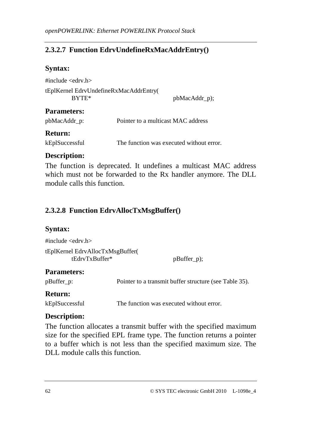## **2.3.2.7 Function EdrvUndefineRxMacAddrEntry()**

#### **Syntax:**

#include <edrv.h> tEplKernel EdrvUndefineRxMacAddrEntry( BYTE\* pbMacAddr\_p);

#### **Parameters:**

| pbMacAddr_p: | Pointer to a multicast MAC address |
|--------------|------------------------------------|
|--------------|------------------------------------|

#### **Return:**

kEplSuccessful The function was executed without error.

## **Description:**

The function is deprecated. It undefines a multicast MAC address which must not be forwarded to the Rx handler anymore. The DLL module calls this function.

## **2.3.2.8 Function EdrvAllocTxMsgBuffer()**

### **Syntax:**

#include <edrv.h> tEplKernel EdrvAllocTxMsgBuffer(  $tEdrvTxBuffer*$  pBuffer p);

### **Parameters:**

pBuffer p: Pointer to a transmit buffer structure (see Table 35).

### **Return:**

kEplSuccessful The function was executed without error.

### **Description:**

The function allocates a transmit buffer with the specified maximum size for the specified EPL frame type. The function returns a pointer to a buffer which is not less than the specified maximum size. The DLL module calls this function.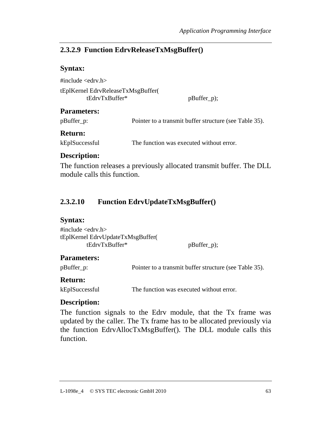### **2.3.2.9 Function EdrvReleaseTxMsgBuffer()**

#### **Syntax:**

#include <edrv.h> tEplKernel EdrvReleaseTxMsgBuffer( tEdrvTxBuffer\* pBuffer\_p);

#### **Parameters:**

pBuffer\_p: Pointer to a transmit buffer structure (see Table 35).

#### **Return:**

kEplSuccessful The function was executed without error.

### **Description:**

The function releases a previously allocated transmit buffer. The DLL module calls this function.

# **2.3.2.10 Function EdrvUpdateTxMsgBuffer()**

#### **Syntax:**

| #include $\leq$ edrv.h $>$        |               |
|-----------------------------------|---------------|
| tEplKernel EdryUpdateTxMsgBuffer( |               |
| tEdryTxBuffer*                    | $pBuffer_p);$ |

### **Parameters:**

pBuffer\_p: Pointer to a transmit buffer structure (see Table 35).

### **Return:**

kEplSuccessful The function was executed without error.

### **Description:**

The function signals to the Edrv module, that the Tx frame was updated by the caller. The Tx frame has to be allocated previously via the function EdrvAllocTxMsgBuffer(). The DLL module calls this function.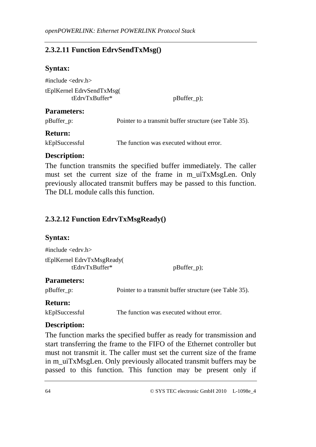## **2.3.2.11 Function EdrvSendTxMsg()**

#### **Syntax:**

 $\#$ include  $\lt$ edrv.h $>$ tEplKernel EdrvSendTxMsg( tEdrvTxBuffer\* pBuffer\_p);

#### **Parameters:**

| Pointer to a transmit buffer structure (see Table 35).<br>pBuffer_p: |  |
|----------------------------------------------------------------------|--|
|----------------------------------------------------------------------|--|

#### **Return:**

kEplSuccessful The function was executed without error.

### **Description:**

The function transmits the specified buffer immediately. The caller must set the current size of the frame in m\_uiTxMsgLen. Only previously allocated transmit buffers may be passed to this function. The DLL module calls this function

## **2.3.2.12 Function EdrvTxMsgReady()**

### **Syntax:**

#include  $\langle$ edrv.h $>$ tEplKernel EdrvTxMsgReady( tEdrvTxBuffer\* pBuffer\_p);

### **Parameters:**

pBuffer p: Pointer to a transmit buffer structure (see Table 35).

## **Return:**

kEplSuccessful The function was executed without error.

### **Description:**

The function marks the specified buffer as ready for transmission and start transferring the frame to the FIFO of the Ethernet controller but must not transmit it. The caller must set the current size of the frame in m\_uiTxMsgLen. Only previously allocated transmit buffers may be passed to this function. This function may be present only if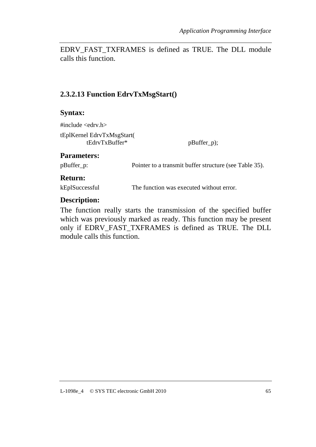EDRV\_FAST\_TXFRAMES is defined as TRUE. The DLL module calls this function.

## **2.3.2.13 Function EdrvTxMsgStart()**

#### **Syntax:**

#include <edrv.h> tEplKernel EdrvTxMsgStart( tEdrvTxBuffer\* pBuffer\_p);

#### **Parameters:**

pBuffer\_p: Pointer to a transmit buffer structure (see Table 35).

#### **Return:**

kEplSuccessful The function was executed without error.

#### **Description:**

The function really starts the transmission of the specified buffer which was previously marked as ready. This function may be present only if EDRV\_FAST\_TXFRAMES is defined as TRUE. The DLL module calls this function.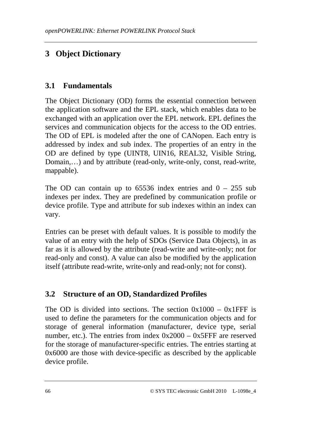# **3 Object Dictionary**

# **3.1 Fundamentals**

The Object Dictionary (OD) forms the essential connection between the application software and the EPL stack, which enables data to be exchanged with an application over the EPL network. EPL defines the services and communication objects for the access to the OD entries. The OD of EPL is modeled after the one of CANopen. Each entry is addressed by index and sub index. The properties of an entry in the OD are defined by type (UINT8, UIN16, REAL32, Visible String, Domain,…) and by attribute (read-only, write-only, const, read-write, mappable).

The OD can contain up to  $65536$  index entries and  $0 - 255$  sub indexes per index. They are predefined by communication profile or device profile. Type and attribute for sub indexes within an index can vary.

Entries can be preset with default values. It is possible to modify the value of an entry with the help of SDOs (Service Data Objects), in as far as it is allowed by the attribute (read-write and write-only; not for read-only and const). A value can also be modified by the application itself (attribute read-write, write-only and read-only; not for const).

## **3.2 Structure of an OD, Standardized Profiles**

The OD is divided into sections. The section  $0x1000 - 0x1$  FFF is used to define the parameters for the communication objects and for storage of general information (manufacturer, device type, serial number, etc.). The entries from index 0x2000 – 0x5FFF are reserved for the storage of manufacturer-specific entries. The entries starting at 0x6000 are those with device-specific as described by the applicable device profile.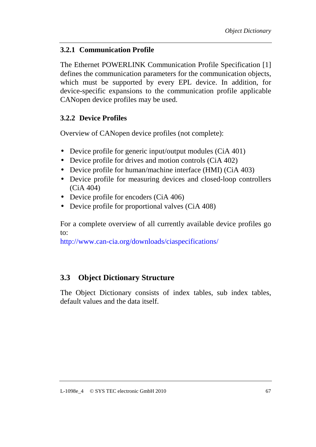## **3.2.1 Communication Profile**

The Ethernet POWERLINK Communication Profile Specification [1] defines the communication parameters for the communication objects, which must be supported by every EPL device. In addition, for device-specific expansions to the communication profile applicable CANopen device profiles may be used.

## **3.2.2 Device Profiles**

Overview of CANopen device profiles (not complete):

- Device profile for generic input/output modules (CiA 401)
- Device profile for drives and motion controls (CiA 402)
- Device profile for human/machine interface (HMI) (CiA 403)
- Device profile for measuring devices and closed-loop controllers (CiA 404)
- Device profile for encoders (CiA 406)
- Device profile for proportional valves (CiA 408)

For a complete overview of all currently available device profiles go to:

http://www.can-cia.org/downloads/ciaspecifications/

# **3.3 Object Dictionary Structure**

The Object Dictionary consists of index tables, sub index tables, default values and the data itself.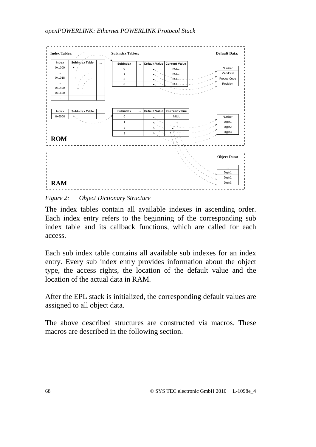

*Figure 2: Object Dictionary Structure* 

The index tables contain all available indexes in ascending order. Each index entry refers to the beginning of the corresponding sub index table and its callback functions, which are called for each access.

Each sub index table contains all available sub indexes for an index entry. Every sub index entry provides information about the object type, the access rights, the location of the default value and the location of the actual data in RAM.

After the EPL stack is initialized, the corresponding default values are assigned to all object data.

The above described structures are constructed via macros. These macros are described in the following section.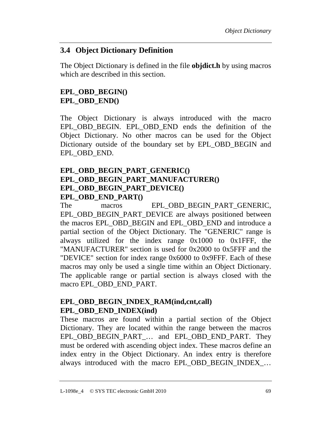## **3.4 Object Dictionary Definition**

The Object Dictionary is defined in the file **objdict.h** by using macros which are described in this section.

## **EPL\_OBD\_BEGIN() EPL\_OBD\_END()**

The Object Dictionary is always introduced with the macro EPL\_OBD\_BEGIN. EPL\_OBD\_END ends the definition of the Object Dictionary. No other macros can be used for the Object Dictionary outside of the boundary set by EPL\_OBD\_BEGIN and EPL\_OBD\_END.

## **EPL\_OBD\_BEGIN\_PART\_GENERIC() EPL\_OBD\_BEGIN\_PART\_MANUFACTURER() EPL\_OBD\_BEGIN\_PART\_DEVICE() EPL\_OBD\_END\_PART()**

The macros EPL\_OBD\_BEGIN\_PART\_GENERIC, EPL\_OBD\_BEGIN\_PART\_DEVICE are always positioned between the macros EPL\_OBD\_BEGIN and EPL\_OBD\_END and introduce a partial section of the Object Dictionary. The "GENERIC" range is always utilized for the index range 0x1000 to 0x1FFF, the "MANUFACTURER" section is used for 0x2000 to 0x5FFF and the "DEVICE" section for index range 0x6000 to 0x9FFF. Each of these macros may only be used a single time within an Object Dictionary. The applicable range or partial section is always closed with the macro EPL\_OBD\_END\_PART.

### **EPL\_OBD\_BEGIN\_INDEX\_RAM(ind,cnt,call) EPL\_OBD\_END\_INDEX(ind)**

These macros are found within a partial section of the Object Dictionary. They are located within the range between the macros EPL\_OBD\_BEGIN\_PART\_... and EPL\_OBD\_END\_PART. They must be ordered with ascending object index. These macros define an index entry in the Object Dictionary. An index entry is therefore always introduced with the macro EPL\_OBD\_BEGIN\_INDEX\_…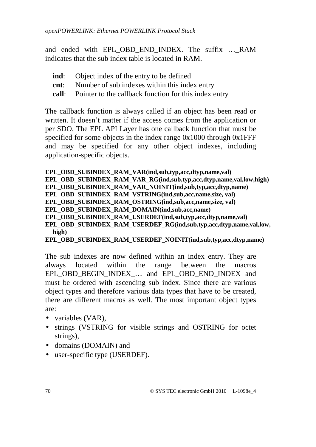and ended with EPL OBD END INDEX. The suffix ... RAM indicates that the sub index table is located in RAM.

- **ind**: Object index of the entry to be defined
- **cnt**: Number of sub indexes within this index entry
- **call**: Pointer to the callback function for this index entry

The callback function is always called if an object has been read or written. It doesn't matter if the access comes from the application or per SDO. The EPL API Layer has one callback function that must be specified for some objects in the index range 0x1000 through 0x1FFF and may be specified for any other object indexes, including application-specific objects.

**EPL\_OBD\_SUBINDEX\_RAM\_VAR(ind,sub,typ,acc,dtyp,name,val)** 

**EPL\_OBD\_SUBINDEX\_RAM\_VAR\_RG(ind,sub,typ,acc,dtyp,name,val,low,high)** 

**EPL\_OBD\_SUBINDEX\_RAM\_VAR\_NOINIT(ind,sub,typ,acc,dtyp,name)** 

**EPL\_OBD\_SUBINDEX\_RAM\_VSTRING(ind,sub,acc,name,size, val)** 

**EPL\_OBD\_SUBINDEX\_RAM\_OSTRING(ind,sub,acc,name,size, val)** 

**EPL\_OBD\_SUBINDEX\_RAM\_DOMAIN(ind,sub,acc,name)** 

**EPL\_OBD\_SUBINDEX\_RAM\_USERDEF(ind,sub,typ,acc,dtyp,name,val)** 

**EPL\_OBD\_SUBINDEX\_RAM\_USERDEF\_RG(ind,sub,typ,acc,dtyp,name,val,low, high)**

```
EPL_OBD_SUBINDEX_RAM_USERDEF_NOINIT(ind,sub,typ,acc,dtyp,name)
```
The sub indexes are now defined within an index entry. They are always located within the range between the macros EPL\_OBD\_BEGIN\_INDEX\_… and EPL\_OBD\_END\_INDEX and must be ordered with ascending sub index. Since there are various object types and therefore various data types that have to be created, there are different macros as well. The most important object types are:

- variables (VAR),
- strings (VSTRING for visible strings and OSTRING for octet strings),
- domains (DOMAIN) and
- user-specific type (USERDEF).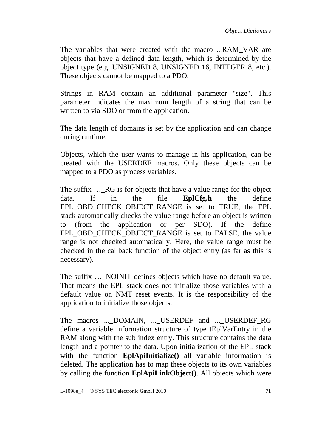The variables that were created with the macro ...RAM\_VAR are objects that have a defined data length, which is determined by the object type (e.g. UNSIGNED 8, UNSIGNED 16, INTEGER 8, etc.). These objects cannot be mapped to a PDO.

Strings in RAM contain an additional parameter "size". This parameter indicates the maximum length of a string that can be written to via SDO or from the application.

The data length of domains is set by the application and can change during runtime.

Objects, which the user wants to manage in his application, can be created with the USERDEF macros. Only these objects can be mapped to a PDO as process variables.

The suffix ...\_RG is for objects that have a value range for the object data. If in the file **EplCfg.h** the define EPL OBD CHECK OBJECT RANGE is set to TRUE, the EPL stack automatically checks the value range before an object is written to (from the application or per SDO). If the define EPL\_OBD\_CHECK\_OBJECT\_RANGE is set to FALSE, the value range is not checked automatically. Here, the value range must be checked in the callback function of the object entry (as far as this is necessary).

The suffix ... NOINIT defines objects which have no default value. That means the EPL stack does not initialize those variables with a default value on NMT reset events. It is the responsibility of the application to initialize those objects.

The macros ...\_DOMAIN, ...\_USERDEF and ...\_USERDEF\_RG define a variable information structure of type tEplVarEntry in the RAM along with the sub index entry. This structure contains the data length and a pointer to the data. Upon initialization of the EPL stack with the function **EplApiInitialize()** all variable information is deleted. The application has to map these objects to its own variables by calling the function **EplApiLinkObject()**. All objects which were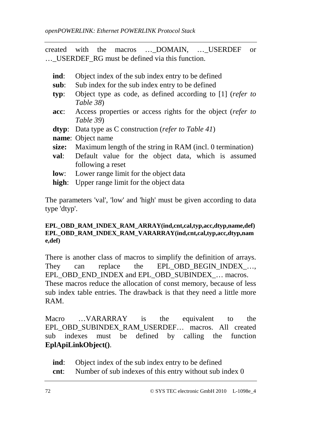created with the macros ... DOMAIN, ... USERDEF or …\_USERDEF\_RG must be defined via this function.

- **ind**: Object index of the sub index entry to be defined
- **sub**: Sub index for the sub index entry to be defined
- **typ**: Object type as code, as defined according to [1] (*refer to Table 38*)
- **acc**: Access properties or access rights for the object (*refer to Table 39*)
- **dtyp**: Data type as C construction (*refer to Table 41*)

**name**: Object name

- **size:** Maximum length of the string in RAM (incl. 0 termination)
- **val**: Default value for the object data, which is assumed following a reset
- **low**: Lower range limit for the object data
- **high**: Upper range limit for the object data

The parameters 'val', 'low' and 'high' must be given according to data type 'dtyp'.

#### **EPL\_OBD\_RAM\_INDEX\_RAM\_ARRAY(ind,cnt,cal,typ,acc,dtyp,name,def) EPL\_OBD\_RAM\_INDEX\_RAM\_VARARRAY(ind,cnt,cal,typ,acc,dtyp,nam e,def)**

There is another class of macros to simplify the definition of arrays. They can replace the EPL\_OBD\_BEGIN\_INDEX\_... EPL\_OBD\_END\_INDEX and EPL\_OBD\_SUBINDEX\_… macros. These macros reduce the allocation of const memory, because of less sub index table entries. The drawback is that they need a little more RAM.

Macro …VARARRAY is the equivalent to the EPL\_OBD\_SUBINDEX\_RAM\_USERDEF… macros. All created sub indexes must be defined by calling the function **EplApiLinkObject()**.

- **ind**: Object index of the sub index entry to be defined
- **cnt**: Number of sub indexes of this entry without sub index 0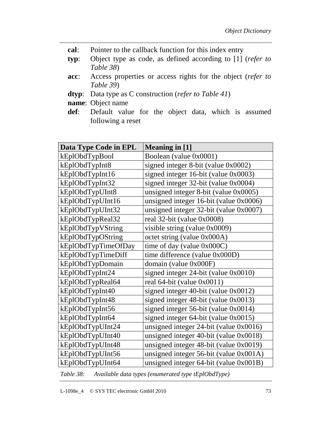- **cal**: Pointer to the callback function for this index entry
- **typ**: Object type as code, as defined according to [1] (*refer to Table 38*)
- **acc**: Access properties or access rights for the object (*refer to Table 39*)
- **dtyp**: Data type as C construction (*refer to Table 41*)
- **name**: Object name
- **def**: Default value for the object data, which is assumed following a reset

| Data Type Code in EPL | <b>Meaning in [1]</b>                        |
|-----------------------|----------------------------------------------|
| kEplObdTypBool        | Boolean (value 0x0001)                       |
| kEplObdTypInt8        | signed integer 8-bit (value 0x0002)          |
| kEplObdTypInt16       | signed integer 16-bit (value 0x0003)         |
| kEplObdTypInt32       | signed integer 32-bit (value 0x0004)         |
| kEplObdTypUInt8       | unsigned integer 8-bit (value 0x0005)        |
| kEplObdTypUInt16      | unsigned integer $16$ -bit (value $0x0006$ ) |
| kEplObdTypUInt32      | unsigned integer $32$ -bit (value $0x0007$ ) |
| kEplObdTypReal32      | real 32-bit (value 0x0008)                   |
| kEplObdTypVString     | visible string (value 0x0009)                |
| kEplObdTypOString     | octet string (value 0x000A)                  |
| kEplObdTypTimeOfDay   | time of day (value $0x000C$ )                |
| kEplObdTypTimeDiff    | time difference (value 0x000D)               |
| kEplObdTypDomain      | domain (value 0x000F)                        |
| kEplObdTypInt24       | signed integer 24-bit (value 0x0010)         |
| kEplObdTypReal64      | real 64-bit (value 0x0011)                   |
| kEplObdTypInt40       | signed integer 40-bit (value 0x0012)         |
| kEplObdTypInt48       | signed integer 48-bit (value 0x0013)         |
| kEplObdTypInt56       | signed integer 56-bit (value 0x0014)         |
| kEplObdTypInt64       | signed integer 64-bit (value 0x0015)         |
| kEplObdTypUInt24      | unsigned integer 24-bit (value 0x0016)       |
| kEplObdTypUInt40      | unsigned integer 40-bit (value 0x0018)       |
| kEplObdTypUInt48      | unsigned integer 48-bit (value 0x0019)       |
| kEplObdTypUInt56      | unsigned integer 56-bit (value 0x001A)       |
| kEplObdTypUInt64      | unsigned integer $64$ -bit (value $0x001B$ ) |

*Table 38: Available data types (enumerated type tEplObdType)*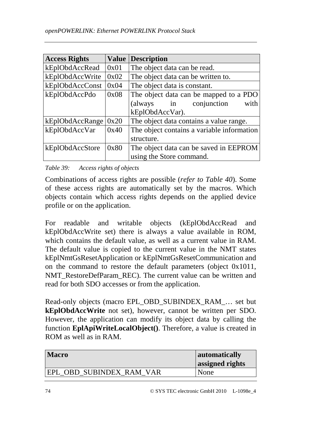| <b>Access Rights</b> |      | <b>Value Description</b>                   |
|----------------------|------|--------------------------------------------|
| kEplObdAccRead       | 0x01 | The object data can be read.               |
| kEplObdAccWrite      | 0x02 | The object data can be written to.         |
| kEplObdAccConst      | 0x04 | The object data is constant.               |
| kEplObdAccPdo        | 0x08 | The object data can be mapped to a PDO     |
|                      |      | with<br>conjunction<br>$\sin$<br>(always   |
|                      |      | kEplObdAccVar).                            |
| kEplObdAccRange      | 0x20 | The object data contains a value range.    |
| kEplObdAccVar        | 0x40 | The object contains a variable information |
|                      |      | structure.                                 |
| kEplObdAccStore      | 0x80 | The object data can be saved in EEPROM     |
|                      |      | using the Store command.                   |

*Table 39: Access rights of objects* 

Combinations of access rights are possible (*refer to Table 40*). Some of these access rights are automatically set by the macros. Which objects contain which access rights depends on the applied device profile or on the application.

For readable and writable objects (kEplObdAccRead and kEplObdAccWrite set) there is always a value available in ROM, which contains the default value, as well as a current value in RAM. The default value is copied to the current value in the NMT states kEplNmtGsResetApplication or kEplNmtGsResetCommunication and on the command to restore the default parameters (object 0x1011, NMT\_RestoreDefParam\_REC). The current value can be written and read for both SDO accesses or from the application.

Read-only objects (macro EPL\_OBD\_SUBINDEX\_RAM\_… set but **kEplObdAccWrite** not set), however, cannot be written per SDO. However, the application can modify its object data by calling the function **EplApiWriteLocalObject()**. Therefore, a value is created in ROM as well as in RAM.

| <b>Macro</b>             | automatically<br>assigned rights |
|--------------------------|----------------------------------|
| EPL OBD SUBINDEX RAM VAR | None                             |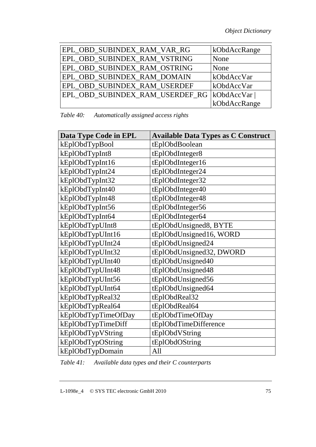| EPL OBD SUBINDEX RAM VAR RG     | kObdAccRange |
|---------------------------------|--------------|
| EPL_OBD_SUBINDEX_RAM_VSTRING    | None         |
| EPL_OBD_SUBINDEX_RAM_OSTRING    | None         |
| EPL_OBD_SUBINDEX_RAM_DOMAIN     | kObdAccVar   |
| EPL_OBD_SUBINDEX_RAM_USERDEF    | kObdAccVar   |
| EPL_OBD_SUBINDEX_RAM_USERDEF_RG | kObdAccVar   |
|                                 | kObdAccRange |

*Table 40: Automatically assigned access rights* 

| Data Type Code in EPL | <b>Available Data Types as C Construct</b> |
|-----------------------|--------------------------------------------|
| kEplObdTypBool        | tEplObdBoolean                             |
| kEplObdTypInt8        | tEplObdInteger8                            |
| kEplObdTypInt16       | tEplObdInteger16                           |
| kEplObdTypInt24       | tEplObdInteger24                           |
| kEplObdTypInt32       | tEplObdInteger32                           |
| kEplObdTypInt40       | tEplObdInteger40                           |
| kEplObdTypInt48       | tEplObdInteger48                           |
| kEplObdTypInt56       | tEplObdInteger56                           |
| kEplObdTypInt64       | tEplObdInteger64                           |
| kEplObdTypUInt8       | tEplObdUnsigned8, BYTE                     |
| kEplObdTypUInt16      | tEplObdUnsigned16, WORD                    |
| kEplObdTypUInt24      | tEplObdUnsigned24                          |
| kEplObdTypUInt32      | tEplObdUnsigned32, DWORD                   |
| kEplObdTypUInt40      | tEplObdUnsigned40                          |
| kEplObdTypUInt48      | tEplObdUnsigned48                          |
| kEplObdTypUInt56      | tEplObdUnsigned56                          |
| kEplObdTypUInt64      | tEplObdUnsigned64                          |
| kEplObdTypReal32      | tEplObdReal32                              |
| kEplObdTypReal64      | tEplObdReal64                              |
| kEplObdTypTimeOfDay   | tEplObdTimeOfDay                           |
| kEplObdTypTimeDiff    | tEplObdTimeDifference                      |
| kEplObdTypVString     | tEplObdVString                             |
| kEplObdTypOString     | tEplObdOString                             |
| kEplObdTypDomain      | All                                        |

*Table 41: Available data types and their C counterparts*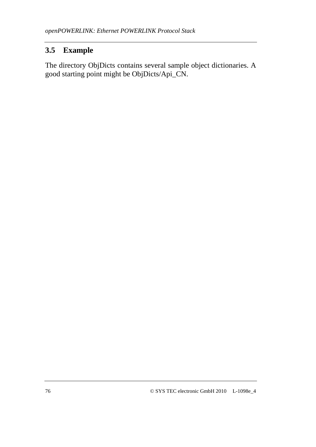# **3.5 Example**

The directory ObjDicts contains several sample object dictionaries. A good starting point might be ObjDicts/Api\_CN.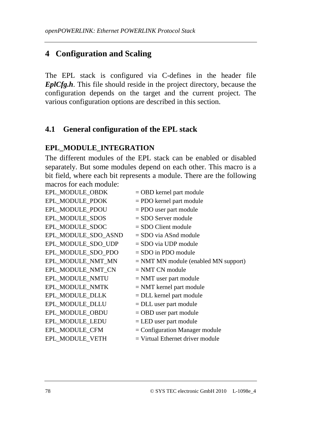# **4 Configuration and Scaling**

The EPL stack is configured via C-defines in the header file *EplCfg.h*. This file should reside in the project directory, because the configuration depends on the target and the current project. The various configuration options are described in this section.

## **4.1 General configuration of the EPL stack**

## **EPL\_MODULE\_INTEGRATION**

The different modules of the EPL stack can be enabled or disabled separately. But some modules depend on each other. This macro is a bit field, where each bit represents a module. There are the following macros for each module:

| EPL_MODULE_OBDK     | $=$ OBD kernel part module             |
|---------------------|----------------------------------------|
| EPL_MODULE_PDOK     | $=$ PDO kernel part module             |
| EPL_MODULE_PDOU     | = PDO user part module                 |
| EPL_MODULE_SDOS     | $=$ SDO Server module                  |
| EPL_MODULE_SDOC     | $=$ SDO Client module                  |
| EPL_MODULE_SDO_ASND | $=$ SDO via ASnd module                |
| EPL_MODULE_SDO_UDP  | $=$ SDO via UDP module                 |
| EPL_MODULE_SDO_PDO  | $=$ SDO in PDO module                  |
| EPL_MODULE_NMT_MN   | $=$ NMT MN module (enabled MN support) |
| EPL_MODULE_NMT_CN   | $=$ NMT CN module                      |
| EPL_MODULE_NMTU     | $=$ NMT user part module               |
| EPL MODULE NMTK     | $=$ NMT kernel part module             |
| EPL_MODULE_DLLK     | $=$ DLL kernel part module             |
| EPL_MODULE_DLLU     | $=$ DLL user part module               |
| EPL_MODULE_OBDU     | $=$ OBD user part module               |
| EPL_MODULE_LEDU     | $=$ LED user part module               |
| EPL_MODULE_CFM      | $=$ Configuration Manager module       |
| EPL MODULE VETH     | $=$ Virtual Ethernet driver module     |
|                     |                                        |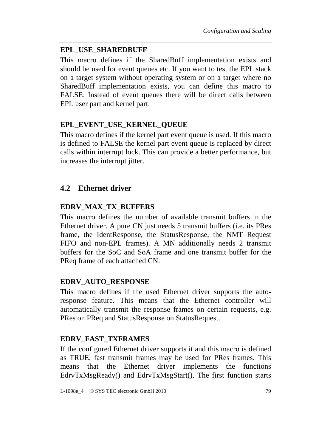### **EPL\_USE\_SHAREDBUFF**

This macro defines if the SharedBuff implementation exists and should be used for event queues etc. If you want to test the EPL stack on a target system without operating system or on a target where no SharedBuff implementation exists, you can define this macro to FALSE. Instead of event queues there will be direct calls between EPL user part and kernel part.

### **EPL\_EVENT\_USE\_KERNEL\_QUEUE**

This macro defines if the kernel part event queue is used. If this macro is defined to FALSE the kernel part event queue is replaced by direct calls within interrupt lock. This can provide a better performance, but increases the interrupt jitter.

## **4.2 Ethernet driver**

## **EDRV\_MAX\_TX\_BUFFERS**

This macro defines the number of available transmit buffers in the Ethernet driver. A pure CN just needs 5 transmit buffers (i.e. its PRes frame, the IdentResponse, the StatusResponse, the NMT Request FIFO and non-EPL frames). A MN additionally needs 2 transmit buffers for the SoC and SoA frame and one transmit buffer for the PReq frame of each attached CN.

### **EDRV\_AUTO\_RESPONSE**

This macro defines if the used Ethernet driver supports the autoresponse feature. This means that the Ethernet controller will automatically transmit the response frames on certain requests, e.g. PRes on PReq and StatusResponse on StatusRequest.

## **EDRV\_FAST\_TXFRAMES**

If the configured Ethernet driver supports it and this macro is defined as TRUE, fast transmit frames may be used for PRes frames. This means that the Ethernet driver implements the functions EdrvTxMsgReady() and EdrvTxMsgStart(). The first function starts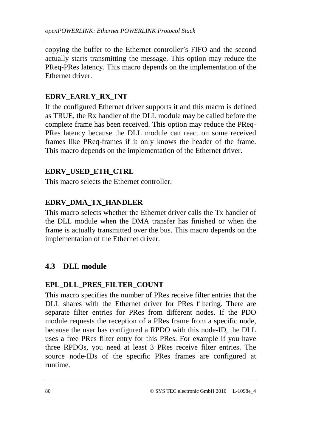copying the buffer to the Ethernet controller's FIFO and the second actually starts transmitting the message. This option may reduce the PReq-PRes latency. This macro depends on the implementation of the Ethernet driver.

## **EDRV\_EARLY\_RX\_INT**

If the configured Ethernet driver supports it and this macro is defined as TRUE, the Rx handler of the DLL module may be called before the complete frame has been received. This option may reduce the PReq-PRes latency because the DLL module can react on some received frames like PReq-frames if it only knows the header of the frame. This macro depends on the implementation of the Ethernet driver.

## **EDRV\_USED\_ETH\_CTRL**

This macro selects the Ethernet controller.

## **EDRV\_DMA\_TX\_HANDLER**

This macro selects whether the Ethernet driver calls the Tx handler of the DLL module when the DMA transfer has finished or when the frame is actually transmitted over the bus. This macro depends on the implementation of the Ethernet driver.

# **4.3 DLL module**

### **EPL\_DLL\_PRES\_FILTER\_COUNT**

This macro specifies the number of PRes receive filter entries that the DLL shares with the Ethernet driver for PRes filtering. There are separate filter entries for PRes from different nodes. If the PDO module requests the reception of a PRes frame from a specific node, because the user has configured a RPDO with this node-ID, the DLL uses a free PRes filter entry for this PRes. For example if you have three RPDOs, you need at least 3 PRes receive filter entries. The source node-IDs of the specific PRes frames are configured at runtime.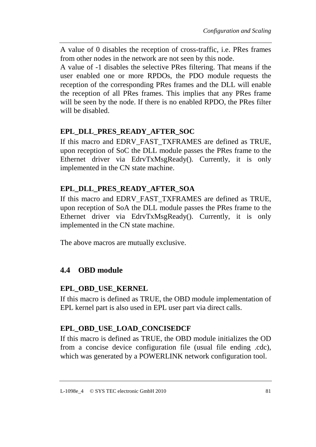A value of 0 disables the reception of cross-traffic, i.e. PRes frames from other nodes in the network are not seen by this node.

A value of -1 disables the selective PRes filtering. That means if the user enabled one or more RPDOs, the PDO module requests the reception of the corresponding PRes frames and the DLL will enable the reception of all PRes frames. This implies that any PRes frame will be seen by the node. If there is no enabled RPDO, the PRes filter will be disabled.

# **EPL\_DLL\_PRES\_READY\_AFTER\_SOC**

If this macro and EDRV\_FAST\_TXFRAMES are defined as TRUE, upon reception of SoC the DLL module passes the PRes frame to the Ethernet driver via EdrvTxMsgReady(). Currently, it is only implemented in the CN state machine.

# **EPL\_DLL\_PRES\_READY\_AFTER\_SOA**

If this macro and EDRV\_FAST\_TXFRAMES are defined as TRUE, upon reception of SoA the DLL module passes the PRes frame to the Ethernet driver via EdryTxMsgReady(). Currently, it is only implemented in the CN state machine.

The above macros are mutually exclusive.

# **4.4 OBD module**

## **EPL\_OBD\_USE\_KERNEL**

If this macro is defined as TRUE, the OBD module implementation of EPL kernel part is also used in EPL user part via direct calls.

# **EPL\_OBD\_USE\_LOAD\_CONCISEDCF**

If this macro is defined as TRUE, the OBD module initializes the OD from a concise device configuration file (usual file ending .cdc), which was generated by a POWERLINK network configuration tool.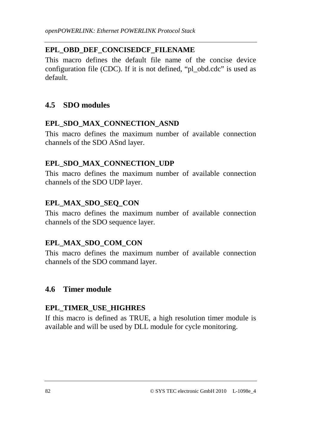# **EPL\_OBD\_DEF\_CONCISEDCF\_FILENAME**

This macro defines the default file name of the concise device configuration file (CDC). If it is not defined, "pl\_obd.cdc" is used as default.

# **4.5 SDO modules**

# **EPL\_SDO\_MAX\_CONNECTION\_ASND**

This macro defines the maximum number of available connection channels of the SDO ASnd layer.

# **EPL\_SDO\_MAX\_CONNECTION\_UDP**

This macro defines the maximum number of available connection channels of the SDO UDP layer.

# **EPL\_MAX\_SDO\_SEQ\_CON**

This macro defines the maximum number of available connection channels of the SDO sequence layer.

# **EPL\_MAX\_SDO\_COM\_CON**

This macro defines the maximum number of available connection channels of the SDO command layer.

# **4.6 Timer module**

# **EPL\_TIMER\_USE\_HIGHRES**

If this macro is defined as TRUE, a high resolution timer module is available and will be used by DLL module for cycle monitoring.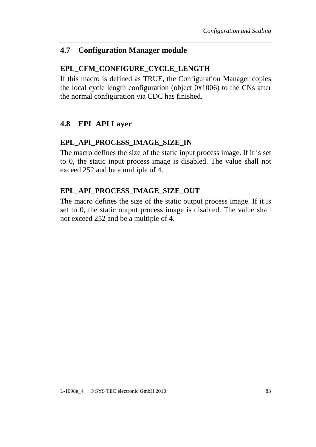## **4.7 Configuration Manager module**

## **EPL\_CFM\_CONFIGURE\_CYCLE\_LENGTH**

If this macro is defined as TRUE, the Configuration Manager copies the local cycle length configuration (object 0x1006) to the CNs after the normal configuration via CDC has finished.

## **4.8 EPL API Layer**

### **EPL\_API\_PROCESS\_IMAGE\_SIZE\_IN**

The macro defines the size of the static input process image. If it is set to 0, the static input process image is disabled. The value shall not exceed 252 and be a multiple of 4.

## **EPL\_API\_PROCESS\_IMAGE\_SIZE\_OUT**

The macro defines the size of the static output process image. If it is set to 0, the static output process image is disabled. The value shall not exceed 252 and be a multiple of 4.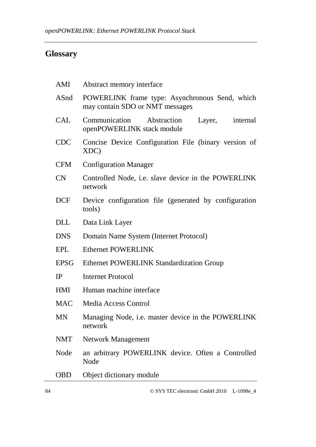# **Glossary**

| AMI         | Abstract memory interface                                                         |
|-------------|-----------------------------------------------------------------------------------|
| ASnd        | POWERLINK frame type: Asynchronous Send, which<br>may contain SDO or NMT messages |
| <b>CAL</b>  | Communication Abstraction<br>Layer, internal<br>openPOWERLINK stack module        |
| <b>CDC</b>  | Concise Device Configuration File (binary version of<br>XDC)                      |
| <b>CFM</b>  | <b>Configuration Manager</b>                                                      |
| CN          | Controlled Node, i.e. slave device in the POWERLINK<br>network                    |
| <b>DCF</b>  | Device configuration file (generated by configuration<br>tools)                   |
| <b>DLL</b>  | Data Link Layer                                                                   |
| <b>DNS</b>  | Domain Name System (Internet Protocol)                                            |
| EPL         | <b>Ethernet POWERLINK</b>                                                         |
| <b>EPSG</b> | <b>Ethernet POWERLINK Standardization Group</b>                                   |
| IP          | <b>Internet Protocol</b>                                                          |
| HMI         | Human machine interface                                                           |
| <b>MAC</b>  | Media Access Control                                                              |
| <b>MN</b>   | Managing Node, i.e. master device in the POWERLINK<br>network                     |
| <b>NMT</b>  | <b>Network Management</b>                                                         |
| Node        | an arbitrary POWERLINK device. Often a Controlled<br>Node                         |
| <b>OBD</b>  | Object dictionary module                                                          |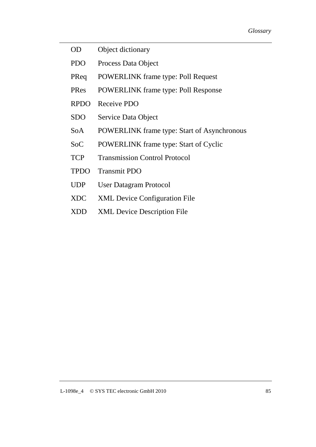- OD Object dictionary
- PDO Process Data Object
- PReq POWERLINK frame type: Poll Request
- PRes POWERLINK frame type: Poll Response
- RPDO Receive PDO
- SDO Service Data Object
- SoA POWERLINK frame type: Start of Asynchronous
- SoC POWERLINK frame type: Start of Cyclic
- TCP Transmission Control Protocol
- TPDO Transmit PDO
- UDP User Datagram Protocol
- XDC XML Device Configuration File
- XDD XML Device Description File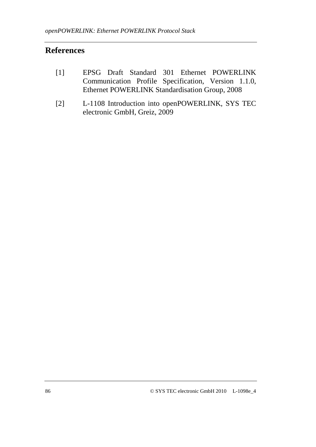# **References**

- [1] EPSG Draft Standard 301 Ethernet POWERLINK Communication Profile Specification, Version 1.1.0, Ethernet POWERLINK Standardisation Group, 2008
- [2] L-1108 Introduction into openPOWERLINK, SYS TEC electronic GmbH, Greiz, 2009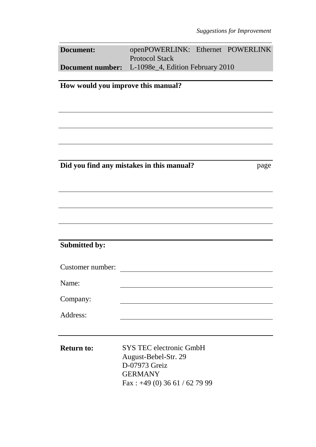| Document: | openPOWERLINK: Ethernet POWERLINK                                    |  |
|-----------|----------------------------------------------------------------------|--|
|           | <b>Protocol Stack</b>                                                |  |
|           | <b>Document number:</b> L-1098e <sub>4</sub> , Edition February 2010 |  |

**How would you improve this manual?** 

**Did you find any mistakes in this manual?** Page

# **Submitted by:**

| Customer number: |  |
|------------------|--|
| Name:            |  |
| Company:         |  |
| Address:         |  |

**Return to:** SYS TEC electronic GmbH August-Bebel-Str. 29 D-07973 Greiz GERMANY Fax : +49 (0) 36 61 / 62 79 99